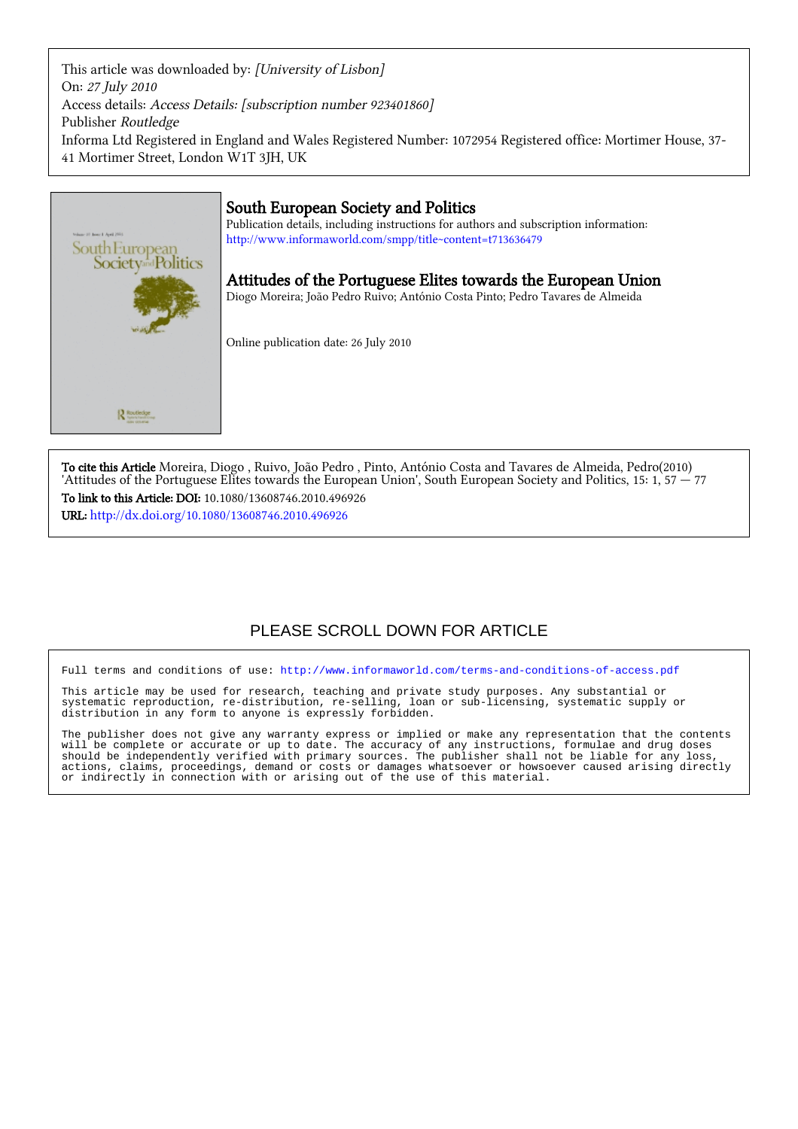This article was downloaded by: [University of Lisbon] On: 27 July 2010 Access details: Access Details: [subscription number 923401860] Publisher Routledge Informa Ltd Registered in England and Wales Registered Number: 1072954 Registered office: Mortimer House, 37- 41 Mortimer Street, London W1T 3JH, UK



### South European Society and Politics

Publication details, including instructions for authors and subscription information: <http://www.informaworld.com/smpp/title~content=t713636479>

Attitudes of the Portuguese Elites towards the European Union

Diogo Moreira; João Pedro Ruivo; António Costa Pinto; Pedro Tavares de Almeida

Online publication date: 26 July 2010

To cite this Article Moreira, Diogo , Ruivo, João Pedro , Pinto, António Costa and Tavares de Almeida, Pedro(2010) 'Attitudes of the Portuguese Elites towards the European Union', South European Society and Politics, 15: 1, 57  $-$  77 To link to this Article: DOI: 10.1080/13608746.2010.496926

URL: <http://dx.doi.org/10.1080/13608746.2010.496926>

## PLEASE SCROLL DOWN FOR ARTICLE

Full terms and conditions of use:<http://www.informaworld.com/terms-and-conditions-of-access.pdf>

This article may be used for research, teaching and private study purposes. Any substantial or systematic reproduction, re-distribution, re-selling, loan or sub-licensing, systematic supply or distribution in any form to anyone is expressly forbidden.

The publisher does not give any warranty express or implied or make any representation that the contents will be complete or accurate or up to date. The accuracy of any instructions, formulae and drug doses should be independently verified with primary sources. The publisher shall not be liable for any loss, actions, claims, proceedings, demand or costs or damages whatsoever or howsoever caused arising directly or indirectly in connection with or arising out of the use of this material.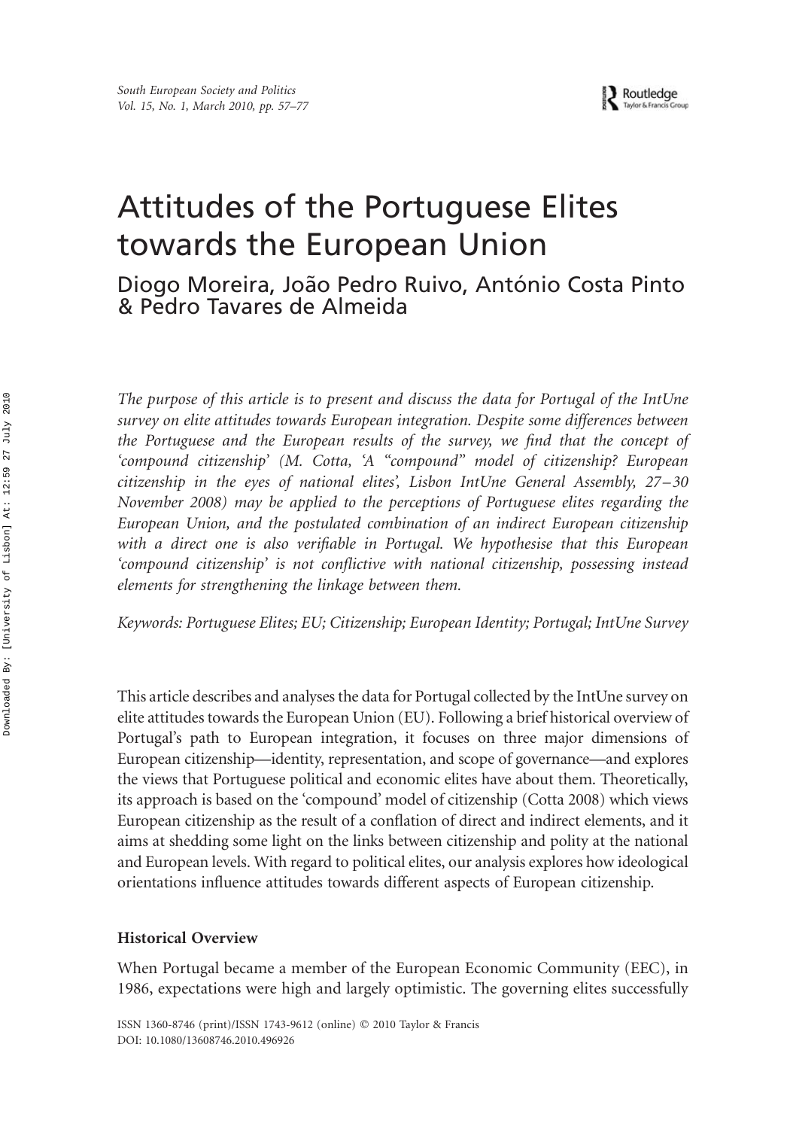# Attitudes of the Portuguese Elites towards the European Union

Diogo Moreira, João Pedro Ruivo, António Costa Pinto & Pedro Tavares de Almeida

The purpose of this article is to present and discuss the data for Portugal of the IntUne survey on elite attitudes towards European integration. Despite some differences between the Portuguese and the European results of the survey, we find that the concept of 'compound citizenship' (M. Cotta, 'A "compound" model of citizenship? European citizenship in the eyes of national elites', Lisbon IntUne General Assembly, 27–30 November 2008) may be applied to the perceptions of Portuguese elites regarding the European Union, and the postulated combination of an indirect European citizenship with a direct one is also verifiable in Portugal. We hypothesise that this European 'compound citizenship' is not conflictive with national citizenship, possessing instead elements for strengthening the linkage between them.

Keywords: Portuguese Elites; EU; Citizenship; European Identity; Portugal; IntUne Survey

This article describes and analyses the data for Portugal collected by the IntUne survey on elite attitudes towards the European Union (EU). Following a brief historical overview of Portugal's path to European integration, it focuses on three major dimensions of European citizenship—identity, representation, and scope of governance—and explores the views that Portuguese political and economic elites have about them. Theoretically, its approach is based on the 'compound' model of citizenship (Cotta 2008) which views European citizenship as the result of a conflation of direct and indirect elements, and it aims at shedding some light on the links between citizenship and polity at the national and European levels. With regard to political elites, our analysis explores how ideological orientations influence attitudes towards different aspects of European citizenship.

### Historical Overview

When Portugal became a member of the European Economic Community (EEC), in 1986, expectations were high and largely optimistic. The governing elites successfully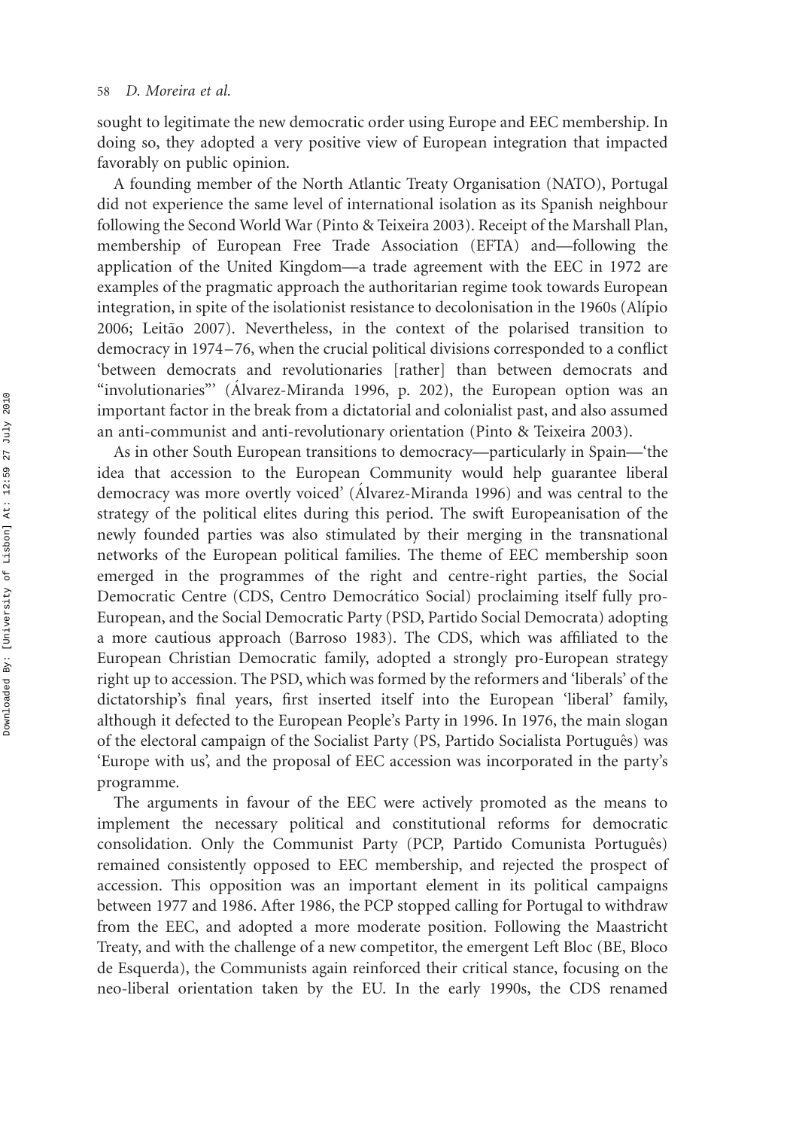sought to legitimate the new democratic order using Europe and EEC membership. In doing so, they adopted a very positive view of European integration that impacted favorably on public opinion.

A founding member of the North Atlantic Treaty Organisation (NATO), Portugal did not experience the same level of international isolation as its Spanish neighbour following the Second World War (Pinto & Teixeira 2003). Receipt of the Marshall Plan, membership of European Free Trade Association (EFTA) and—following the application of the United Kingdom—a trade agreement with the EEC in 1972 are examples of the pragmatic approach the authoritarian regime took towards European integration, in spite of the isolationist resistance to decolonisation in the 1960s (Alípio 2006; Leitão 2007). Nevertheless, in the context of the polarised transition to democracy in 1974–76, when the crucial political divisions corresponded to a conflict 'between democrats and revolutionaries [rather] than between democrats and "involutionaries"' (Álvarez-Miranda 1996, p. 202), the European option was an important factor in the break from a dictatorial and colonialist past, and also assumed an anti-communist and anti-revolutionary orientation (Pinto & Teixeira 2003).

As in other South European transitions to democracy—particularly in Spain—'the idea that accession to the European Community would help guarantee liberal democracy was more overtly voiced' (Alvarez-Miranda 1996) and was central to the strategy of the political elites during this period. The swift Europeanisation of the newly founded parties was also stimulated by their merging in the transnational networks of the European political families. The theme of EEC membership soon emerged in the programmes of the right and centre-right parties, the Social Democratic Centre (CDS, Centro Democra´tico Social) proclaiming itself fully pro-European, and the Social Democratic Party (PSD, Partido Social Democrata) adopting a more cautious approach (Barroso 1983). The CDS, which was affiliated to the European Christian Democratic family, adopted a strongly pro-European strategy right up to accession. The PSD, which was formed by the reformers and 'liberals' of the dictatorship's final years, first inserted itself into the European 'liberal' family, although it defected to the European People's Party in 1996. In 1976, the main slogan of the electoral campaign of the Socialist Party (PS, Partido Socialista Português) was 'Europe with us', and the proposal of EEC accession was incorporated in the party's programme.

The arguments in favour of the EEC were actively promoted as the means to implement the necessary political and constitutional reforms for democratic consolidation. Only the Communist Party (PCP, Partido Comunista Português) remained consistently opposed to EEC membership, and rejected the prospect of accession. This opposition was an important element in its political campaigns between 1977 and 1986. After 1986, the PCP stopped calling for Portugal to withdraw from the EEC, and adopted a more moderate position. Following the Maastricht Treaty, and with the challenge of a new competitor, the emergent Left Bloc (BE, Bloco de Esquerda), the Communists again reinforced their critical stance, focusing on the neo-liberal orientation taken by the EU. In the early 1990s, the CDS renamed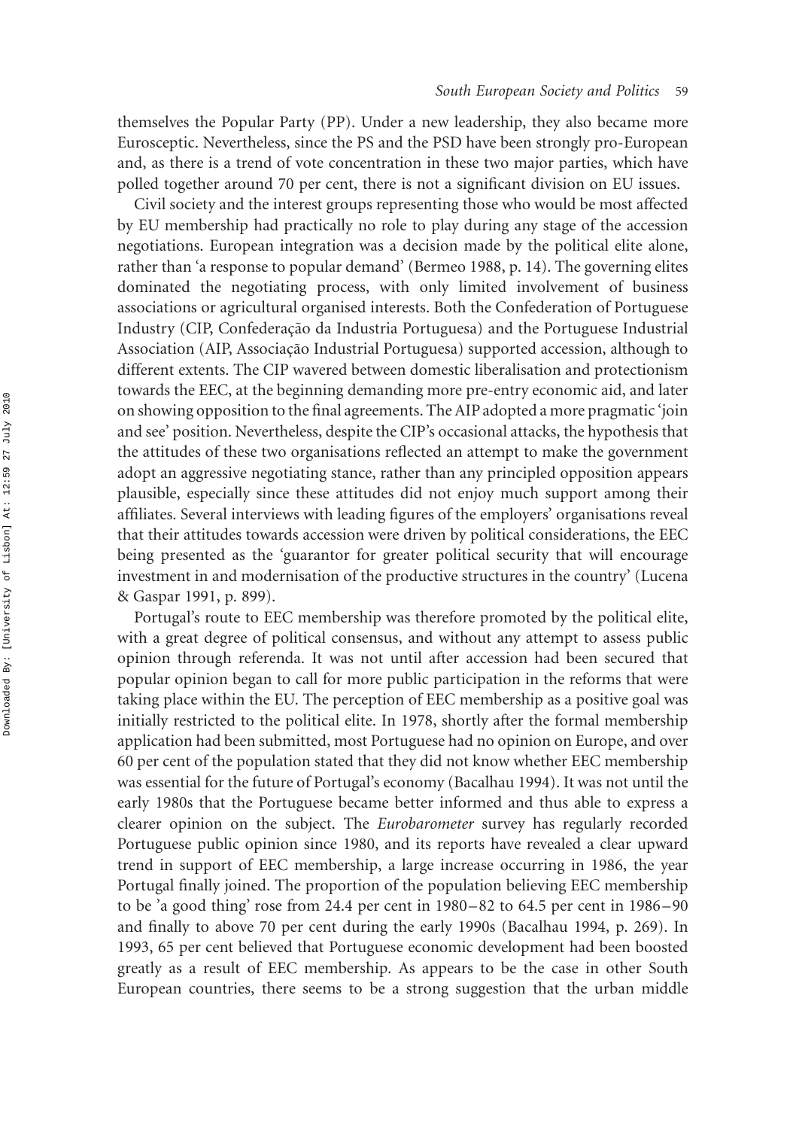themselves the Popular Party (PP). Under a new leadership, they also became more Eurosceptic. Nevertheless, since the PS and the PSD have been strongly pro-European and, as there is a trend of vote concentration in these two major parties, which have polled together around 70 per cent, there is not a significant division on EU issues.

Civil society and the interest groups representing those who would be most affected by EU membership had practically no role to play during any stage of the accession negotiations. European integration was a decision made by the political elite alone, rather than 'a response to popular demand' (Bermeo 1988, p. 14). The governing elites dominated the negotiating process, with only limited involvement of business associations or agricultural organised interests. Both the Confederation of Portuguese Industry (CIP, Confederação da Industria Portuguesa) and the Portuguese Industrial Association (AIP, Associação Industrial Portuguesa) supported accession, although to different extents. The CIP wavered between domestic liberalisation and protectionism towards the EEC, at the beginning demanding more pre-entry economic aid, and later on showing opposition to the final agreements. The AIP adopted a more pragmatic 'join and see' position. Nevertheless, despite the CIP's occasional attacks, the hypothesis that the attitudes of these two organisations reflected an attempt to make the government adopt an aggressive negotiating stance, rather than any principled opposition appears plausible, especially since these attitudes did not enjoy much support among their affiliates. Several interviews with leading figures of the employers' organisations reveal that their attitudes towards accession were driven by political considerations, the EEC being presented as the 'guarantor for greater political security that will encourage investment in and modernisation of the productive structures in the country' (Lucena & Gaspar 1991, p. 899).

Portugal's route to EEC membership was therefore promoted by the political elite, with a great degree of political consensus, and without any attempt to assess public opinion through referenda. It was not until after accession had been secured that popular opinion began to call for more public participation in the reforms that were taking place within the EU. The perception of EEC membership as a positive goal was initially restricted to the political elite. In 1978, shortly after the formal membership application had been submitted, most Portuguese had no opinion on Europe, and over 60 per cent of the population stated that they did not know whether EEC membership was essential for the future of Portugal's economy (Bacalhau 1994). It was not until the early 1980s that the Portuguese became better informed and thus able to express a clearer opinion on the subject. The Eurobarometer survey has regularly recorded Portuguese public opinion since 1980, and its reports have revealed a clear upward trend in support of EEC membership, a large increase occurring in 1986, the year Portugal finally joined. The proportion of the population believing EEC membership to be 'a good thing' rose from 24.4 per cent in 1980–82 to 64.5 per cent in 1986–90 and finally to above 70 per cent during the early 1990s (Bacalhau 1994, p. 269). In 1993, 65 per cent believed that Portuguese economic development had been boosted greatly as a result of EEC membership. As appears to be the case in other South European countries, there seems to be a strong suggestion that the urban middle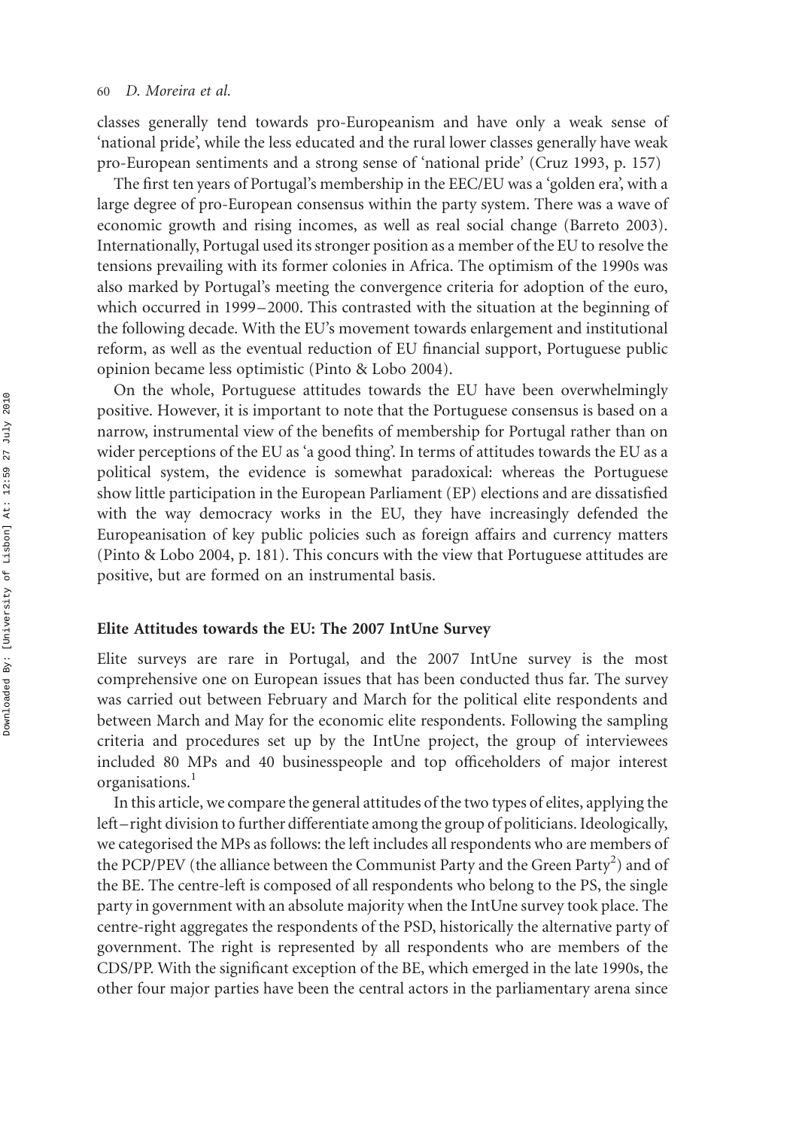classes generally tend towards pro-Europeanism and have only a weak sense of 'national pride', while the less educated and the rural lower classes generally have weak pro-European sentiments and a strong sense of 'national pride' (Cruz 1993, p. 157)

The first ten years of Portugal's membership in the EEC/EU was a 'golden era', with a large degree of pro-European consensus within the party system. There was a wave of economic growth and rising incomes, as well as real social change (Barreto 2003). Internationally, Portugal used its stronger position as a member of the EU to resolve the tensions prevailing with its former colonies in Africa. The optimism of the 1990s was also marked by Portugal's meeting the convergence criteria for adoption of the euro, which occurred in 1999–2000. This contrasted with the situation at the beginning of the following decade. With the EU's movement towards enlargement and institutional reform, as well as the eventual reduction of EU financial support, Portuguese public opinion became less optimistic (Pinto & Lobo 2004).

On the whole, Portuguese attitudes towards the EU have been overwhelmingly positive. However, it is important to note that the Portuguese consensus is based on a narrow, instrumental view of the benefits of membership for Portugal rather than on wider perceptions of the EU as 'a good thing'. In terms of attitudes towards the EU as a political system, the evidence is somewhat paradoxical: whereas the Portuguese show little participation in the European Parliament (EP) elections and are dissatisfied with the way democracy works in the EU, they have increasingly defended the Europeanisation of key public policies such as foreign affairs and currency matters (Pinto & Lobo 2004, p. 181). This concurs with the view that Portuguese attitudes are positive, but are formed on an instrumental basis.

### Elite Attitudes towards the EU: The 2007 IntUne Survey

Elite surveys are rare in Portugal, and the 2007 IntUne survey is the most comprehensive one on European issues that has been conducted thus far. The survey was carried out between February and March for the political elite respondents and between March and May for the economic elite respondents. Following the sampling criteria and procedures set up by the IntUne project, the group of interviewees included 80 MPs and 40 businesspeople and top officeholders of major interest organisations.<sup>1</sup>

In this article, we compare the general attitudes of the two types of elites, applying the left–right division to further differentiate among the group of politicians. Ideologically, we categorised the MPs as follows: the left includes all respondents who are members of the PCP/PEV (the alliance between the Communist Party and the Green Party<sup>2</sup>) and of the BE. The centre-left is composed of all respondents who belong to the PS, the single party in government with an absolute majority when the IntUne survey took place. The centre-right aggregates the respondents of the PSD, historically the alternative party of government. The right is represented by all respondents who are members of the CDS/PP. With the significant exception of the BE, which emerged in the late 1990s, the other four major parties have been the central actors in the parliamentary arena since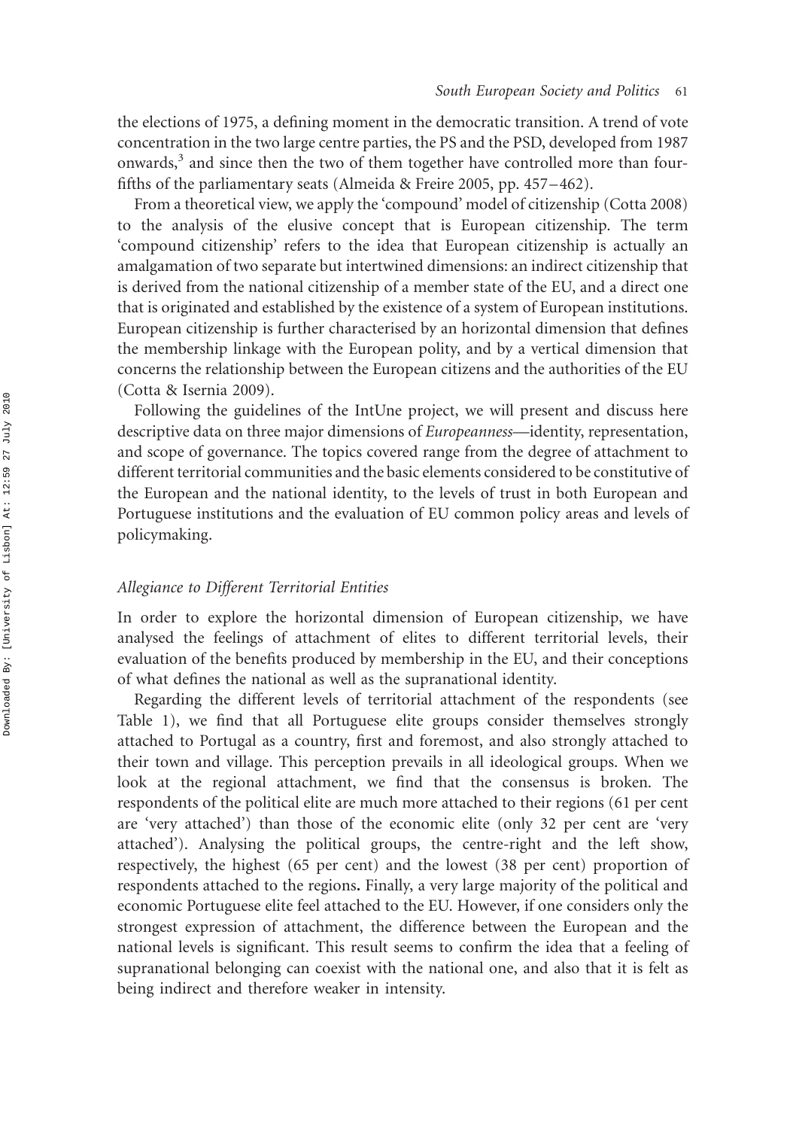the elections of 1975, a defining moment in the democratic transition. A trend of vote concentration in the two large centre parties, the PS and the PSD, developed from 1987 onwards,<sup>3</sup> and since then the two of them together have controlled more than fourfifths of the parliamentary seats (Almeida & Freire 2005, pp. 457–462).

From a theoretical view, we apply the 'compound' model of citizenship (Cotta 2008) to the analysis of the elusive concept that is European citizenship. The term 'compound citizenship' refers to the idea that European citizenship is actually an amalgamation of two separate but intertwined dimensions: an indirect citizenship that is derived from the national citizenship of a member state of the EU, and a direct one that is originated and established by the existence of a system of European institutions. European citizenship is further characterised by an horizontal dimension that defines the membership linkage with the European polity, and by a vertical dimension that concerns the relationship between the European citizens and the authorities of the EU (Cotta & Isernia 2009).

Following the guidelines of the IntUne project, we will present and discuss here descriptive data on three major dimensions of Europeanness—identity, representation, and scope of governance. The topics covered range from the degree of attachment to different territorial communities and the basic elements considered to be constitutive of the European and the national identity, to the levels of trust in both European and Portuguese institutions and the evaluation of EU common policy areas and levels of policymaking.

### Allegiance to Different Territorial Entities

In order to explore the horizontal dimension of European citizenship, we have analysed the feelings of attachment of elites to different territorial levels, their evaluation of the benefits produced by membership in the EU, and their conceptions of what defines the national as well as the supranational identity.

Regarding the different levels of territorial attachment of the respondents (see Table 1), we find that all Portuguese elite groups consider themselves strongly attached to Portugal as a country, first and foremost, and also strongly attached to their town and village. This perception prevails in all ideological groups. When we look at the regional attachment, we find that the consensus is broken. The respondents of the political elite are much more attached to their regions (61 per cent are 'very attached') than those of the economic elite (only 32 per cent are 'very attached'). Analysing the political groups, the centre-right and the left show, respectively, the highest (65 per cent) and the lowest (38 per cent) proportion of respondents attached to the regions. Finally, a very large majority of the political and economic Portuguese elite feel attached to the EU. However, if one considers only the strongest expression of attachment, the difference between the European and the national levels is significant. This result seems to confirm the idea that a feeling of supranational belonging can coexist with the national one, and also that it is felt as being indirect and therefore weaker in intensity.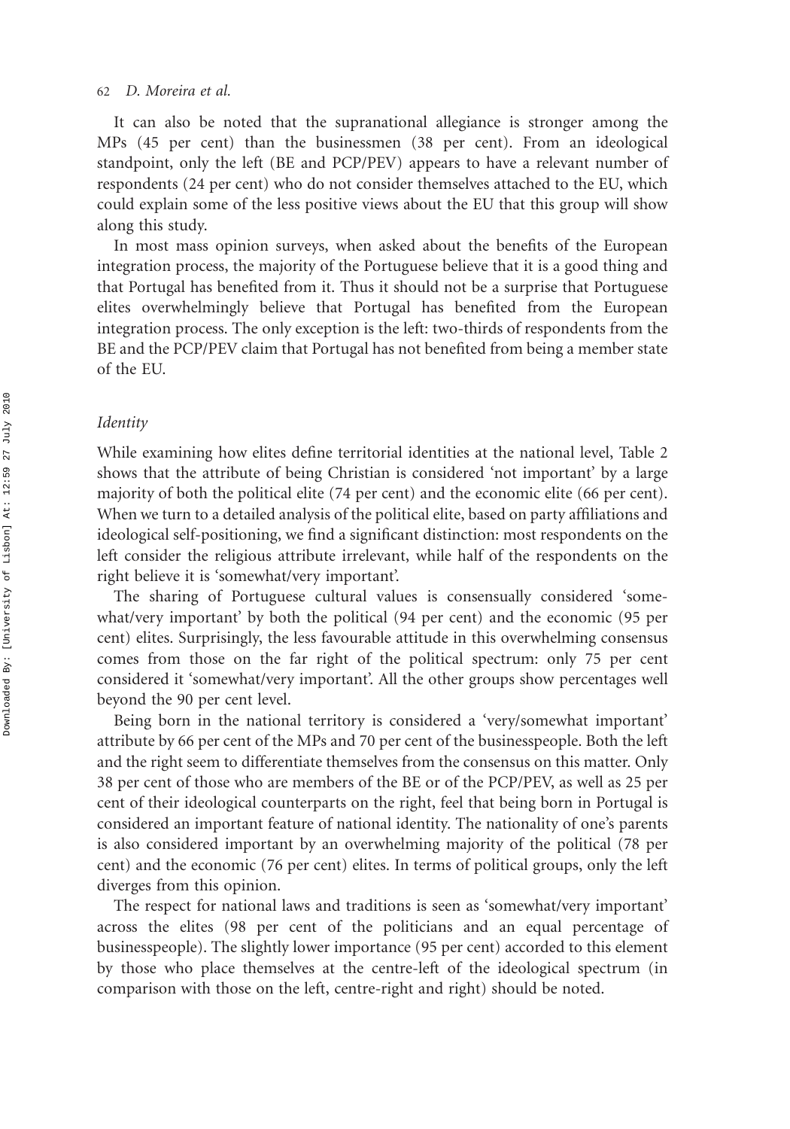### 62 D. Moreira et al.

It can also be noted that the supranational allegiance is stronger among the MPs (45 per cent) than the businessmen (38 per cent). From an ideological standpoint, only the left (BE and PCP/PEV) appears to have a relevant number of respondents (24 per cent) who do not consider themselves attached to the EU, which could explain some of the less positive views about the EU that this group will show along this study.

In most mass opinion surveys, when asked about the benefits of the European integration process, the majority of the Portuguese believe that it is a good thing and that Portugal has benefited from it. Thus it should not be a surprise that Portuguese elites overwhelmingly believe that Portugal has benefited from the European integration process. The only exception is the left: two-thirds of respondents from the BE and the PCP/PEV claim that Portugal has not benefited from being a member state of the EU.

### Identity

While examining how elites define territorial identities at the national level, Table 2 shows that the attribute of being Christian is considered 'not important' by a large majority of both the political elite (74 per cent) and the economic elite (66 per cent). When we turn to a detailed analysis of the political elite, based on party affiliations and ideological self-positioning, we find a significant distinction: most respondents on the left consider the religious attribute irrelevant, while half of the respondents on the right believe it is 'somewhat/very important'.

The sharing of Portuguese cultural values is consensually considered 'somewhat/very important' by both the political (94 per cent) and the economic (95 per cent) elites. Surprisingly, the less favourable attitude in this overwhelming consensus comes from those on the far right of the political spectrum: only 75 per cent considered it 'somewhat/very important'. All the other groups show percentages well beyond the 90 per cent level.

Being born in the national territory is considered a 'very/somewhat important' attribute by 66 per cent of the MPs and 70 per cent of the businesspeople. Both the left and the right seem to differentiate themselves from the consensus on this matter. Only 38 per cent of those who are members of the BE or of the PCP/PEV, as well as 25 per cent of their ideological counterparts on the right, feel that being born in Portugal is considered an important feature of national identity. The nationality of one's parents is also considered important by an overwhelming majority of the political (78 per cent) and the economic (76 per cent) elites. In terms of political groups, only the left diverges from this opinion.

The respect for national laws and traditions is seen as 'somewhat/very important' across the elites (98 per cent of the politicians and an equal percentage of businesspeople). The slightly lower importance (95 per cent) accorded to this element by those who place themselves at the centre-left of the ideological spectrum (in comparison with those on the left, centre-right and right) should be noted.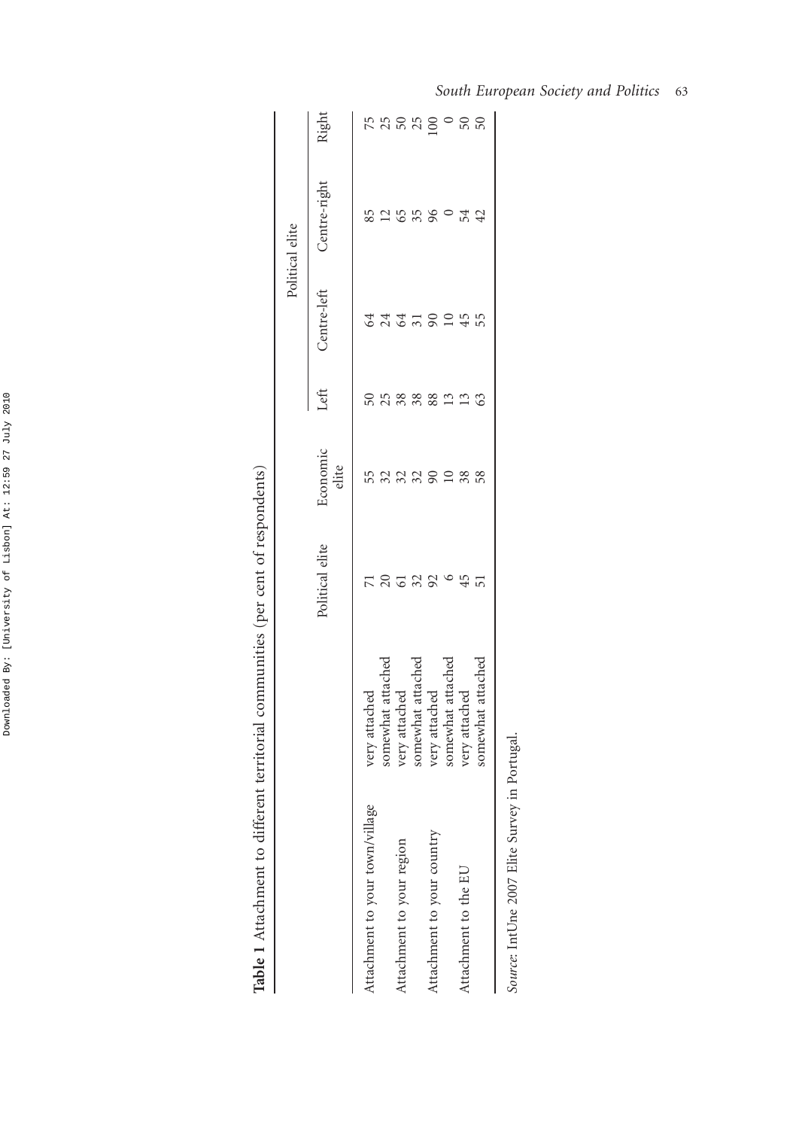|                                 |                   |                 |                   |      |               | Political elite |          |
|---------------------------------|-------------------|-----------------|-------------------|------|---------------|-----------------|----------|
|                                 |                   | Political elite | Economic<br>elite | Left | Centre-left   | Centre-right    | Right    |
| Attachment to your town/village | very attached     |                 |                   |      | 84            |                 | 75       |
|                                 | somewhat attached |                 |                   | 25   | 24            |                 | 25       |
| Attachment to your region       | very attached     | 51              |                   | 38   | $\mathcal{L}$ | 65              | 50       |
|                                 | somewhat attached | 25              |                   | 38   |               | 55              | 25       |
| Attachment to your country      | very attached     | 2               | 90                | 88   | $\infty$      | 96              | $\infty$ |
|                                 | somewhat attached | $\circ$         | $\overline{10}$   | 13   | $\Xi$         | $\circ$         | $\circ$  |
| Attachment to the EU            | very attached     | 45              | 38                | 13   | 45            | 54              | $50\,$   |
|                                 | somewhat attached |                 | 58                | 63   | 55            | 42              | 50       |
|                                 |                   |                 |                   |      |               |                 |          |

Source: IntUne 2007 Elite Survey in Portugal.

Source: IntUne 2007 Elite Survey in Portugal.

Table 1 Attachment to different territorial communities (per cent of respondents) Table 1 Attachment to different territorial communities (per cent of respondents)

South European Society and Politics 63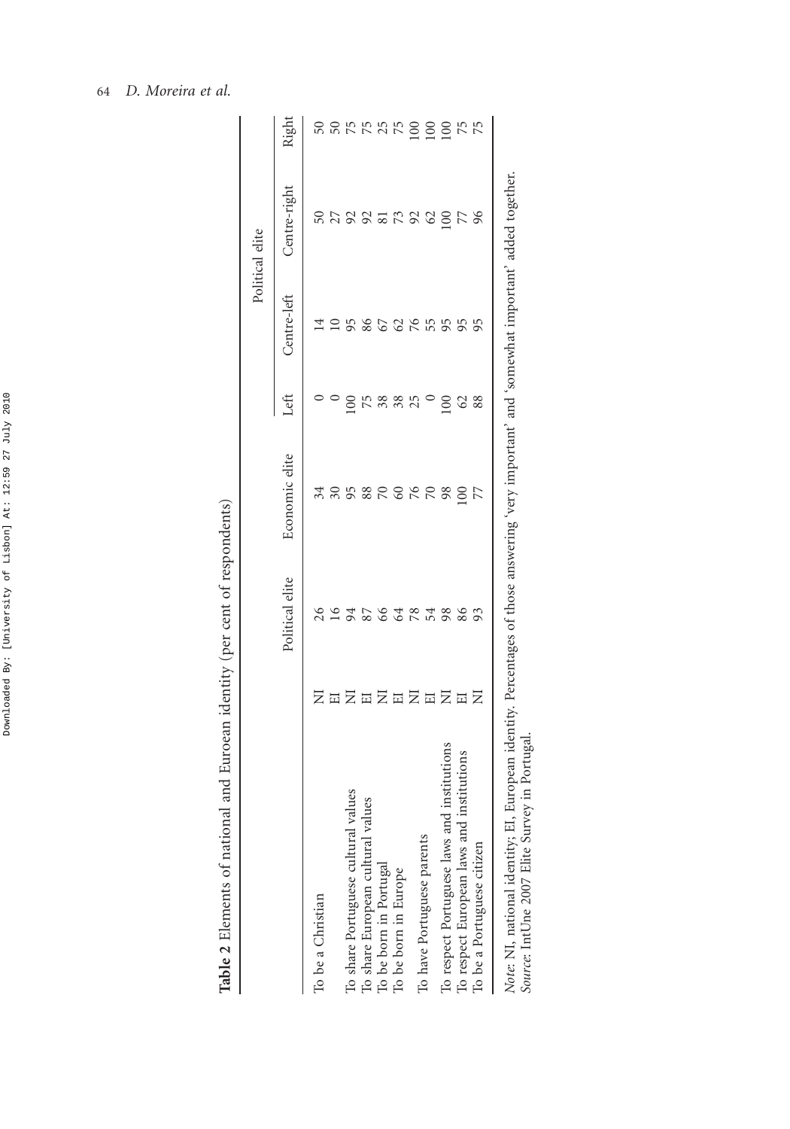|                                             |        |                 |                                                                                                         |                |             | Political elite |                  |
|---------------------------------------------|--------|-----------------|---------------------------------------------------------------------------------------------------------|----------------|-------------|-----------------|------------------|
|                                             |        | Political elite | Economic elite                                                                                          | Left           | Centre-left | Centre-right    | Right            |
| To be a Christian                           | Ξ      | 26              |                                                                                                         |                |             | 50              |                  |
|                                             |        | $\frac{6}{2}$   |                                                                                                         |                |             |                 |                  |
| values<br>To share Portuguese cultural      |        | 54              | 30 <sub>6</sub>                                                                                         | S              | 95          |                 | 50 K K<br>50 K K |
| To share European cultural values           |        |                 |                                                                                                         | 75             | 86          |                 |                  |
| To be born in Portugal                      | 量艺量艺量艺 | 87<br>66        | $\frac{88}{70}$                                                                                         | 38             | 67          | $\frac{5}{8}$   | 25               |
| To be born in Europe                        |        | 64              | $60\,$                                                                                                  | 38             | 62          | 73              |                  |
|                                             |        |                 | 76                                                                                                      |                | 76          | $\mathcal{S}$   |                  |
| To have Portuguese parents                  | 量艺     | 7848            | $\mathcal{F}$                                                                                           |                | 55          | $\mathcal{O}$   |                  |
| To respect Portuguese laws and institutions |        |                 | 98                                                                                                      | $\overline{0}$ | 95          | S               |                  |
| To respect European laws and                | 量艺     | 86              | $\overline{0}$                                                                                          | 62             | 95          |                 | 75               |
| To be a Portuguese citizen                  |        | 93              | 77                                                                                                      | 88             | 95          | 96              |                  |
| Note NI national identity F                 |        |                 | European identity Percentages of those answering very important? and somewhat important? added together |                |             |                 |                  |

# Table 2 Elements of national and Euroean identity (per cent of respondents) Table 2 Elements of national and Euroean identity (per cent of respondents)

together. Note: NI, national identity; EI, European identity. Percentages of those answering 'very important' and 'somewhat important' added together. added somewhat important  $\mathop{\mathrm{and}}$ answering very important š Ë  $\overline{0}$ ercentages *Note:* N1, national identity; E1, European identity. P<br>*Source*: IntUne 2007 Elite Survey in Portugal. Source: IntUne 2007 Elite Survey in Portugal.

### 64 D. Moreira et al.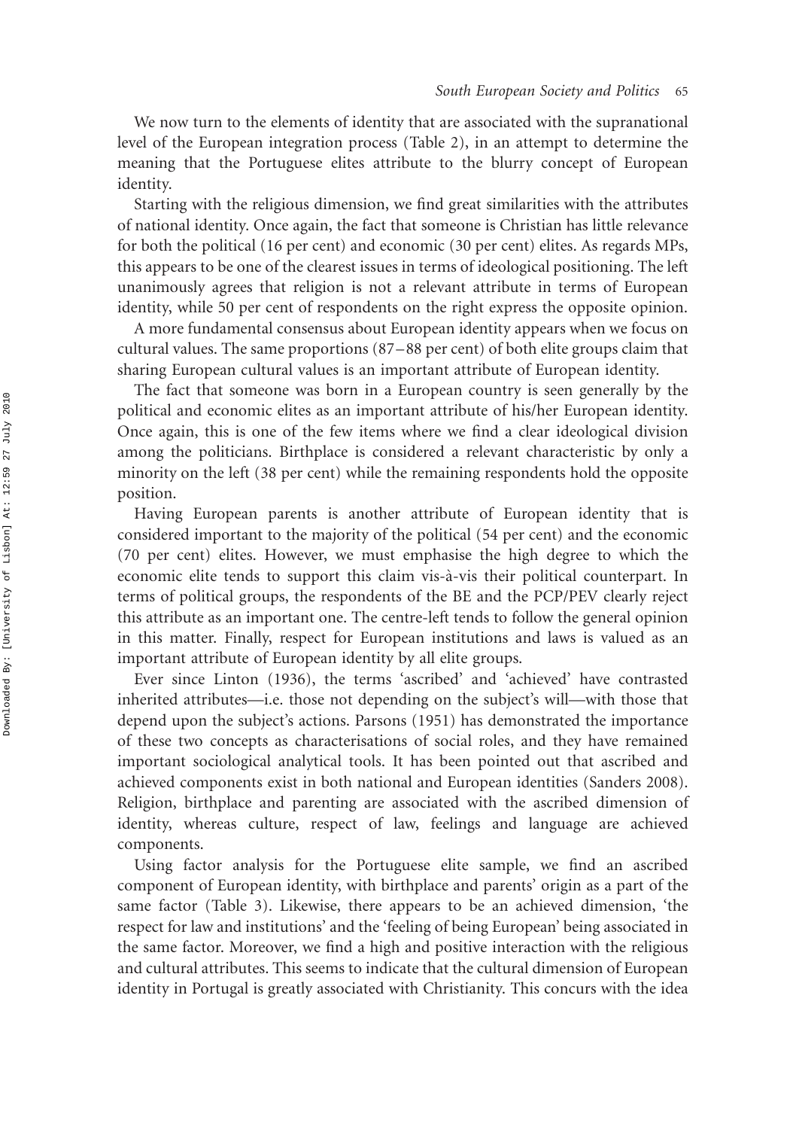We now turn to the elements of identity that are associated with the supranational level of the European integration process (Table 2), in an attempt to determine the meaning that the Portuguese elites attribute to the blurry concept of European identity.

Starting with the religious dimension, we find great similarities with the attributes of national identity. Once again, the fact that someone is Christian has little relevance for both the political (16 per cent) and economic (30 per cent) elites. As regards MPs, this appears to be one of the clearest issues in terms of ideological positioning. The left unanimously agrees that religion is not a relevant attribute in terms of European identity, while 50 per cent of respondents on the right express the opposite opinion.

A more fundamental consensus about European identity appears when we focus on cultural values. The same proportions (87–88 per cent) of both elite groups claim that sharing European cultural values is an important attribute of European identity.

The fact that someone was born in a European country is seen generally by the political and economic elites as an important attribute of his/her European identity. Once again, this is one of the few items where we find a clear ideological division among the politicians. Birthplace is considered a relevant characteristic by only a minority on the left (38 per cent) while the remaining respondents hold the opposite position.

Having European parents is another attribute of European identity that is considered important to the majority of the political (54 per cent) and the economic (70 per cent) elites. However, we must emphasise the high degree to which the economic elite tends to support this claim vis-a`-vis their political counterpart. In terms of political groups, the respondents of the BE and the PCP/PEV clearly reject this attribute as an important one. The centre-left tends to follow the general opinion in this matter. Finally, respect for European institutions and laws is valued as an important attribute of European identity by all elite groups.

Ever since Linton (1936), the terms 'ascribed' and 'achieved' have contrasted inherited attributes—i.e. those not depending on the subject's will—with those that depend upon the subject's actions. Parsons (1951) has demonstrated the importance of these two concepts as characterisations of social roles, and they have remained important sociological analytical tools. It has been pointed out that ascribed and achieved components exist in both national and European identities (Sanders 2008). Religion, birthplace and parenting are associated with the ascribed dimension of identity, whereas culture, respect of law, feelings and language are achieved components.

Using factor analysis for the Portuguese elite sample, we find an ascribed component of European identity, with birthplace and parents' origin as a part of the same factor (Table 3). Likewise, there appears to be an achieved dimension, 'the respect for law and institutions' and the 'feeling of being European' being associated in the same factor. Moreover, we find a high and positive interaction with the religious and cultural attributes. This seems to indicate that the cultural dimension of European identity in Portugal is greatly associated with Christianity. This concurs with the idea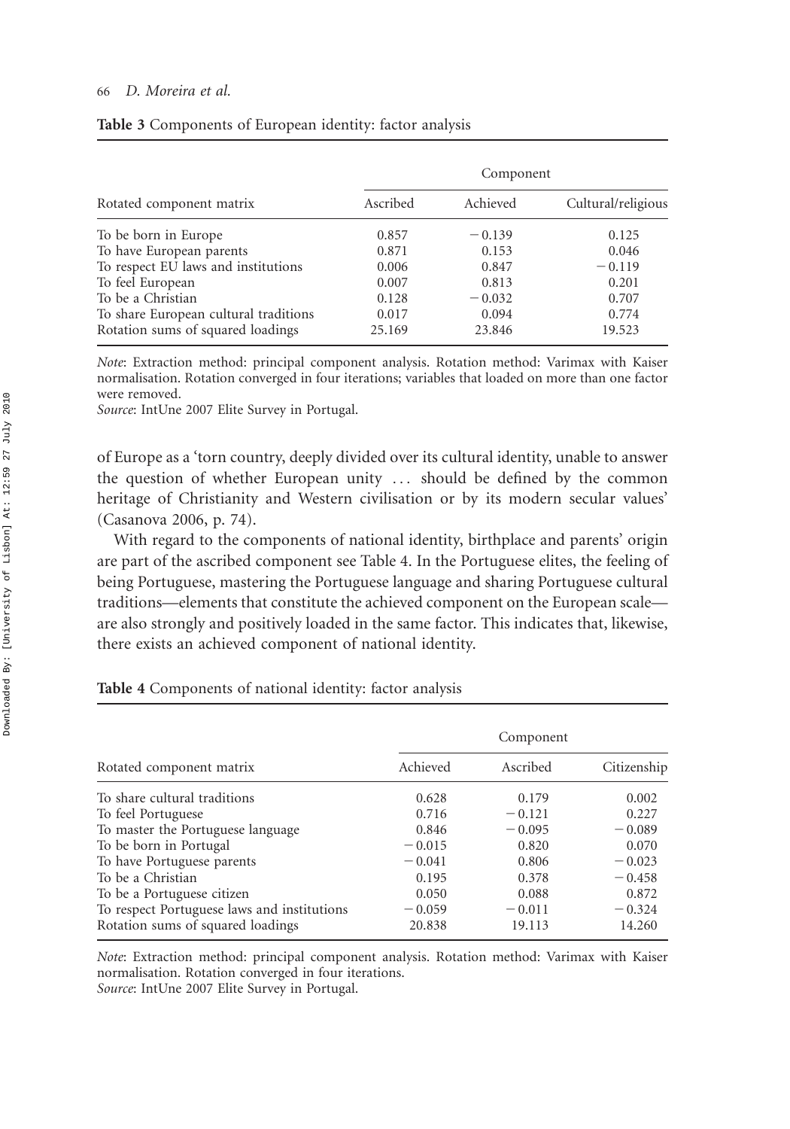### 66 D. Moreira et al.

|                                       |          | Component |                    |
|---------------------------------------|----------|-----------|--------------------|
| Rotated component matrix              | Ascribed | Achieved  | Cultural/religious |
| To be born in Europe                  | 0.857    | $-0.139$  | 0.125              |
| To have European parents              | 0.871    | 0.153     | 0.046              |
| To respect EU laws and institutions   | 0.006    | 0.847     | $-0.119$           |
| To feel European                      | 0.007    | 0.813     | 0.201              |
| To be a Christian                     | 0.128    | $-0.032$  | 0.707              |
| To share European cultural traditions | 0.017    | 0.094     | 0.774              |
| Rotation sums of squared loadings     | 25.169   | 23.846    | 19.523             |

| <b>Table 3</b> Components of European identity: factor analysis |  |
|-----------------------------------------------------------------|--|
|-----------------------------------------------------------------|--|

Note: Extraction method: principal component analysis. Rotation method: Varimax with Kaiser normalisation. Rotation converged in four iterations; variables that loaded on more than one factor were removed.

Source: IntUne 2007 Elite Survey in Portugal.

of Europe as a 'torn country, deeply divided over its cultural identity, unable to answer the question of whether European unity ... should be defined by the common heritage of Christianity and Western civilisation or by its modern secular values' (Casanova 2006, p. 74).

With regard to the components of national identity, birthplace and parents' origin are part of the ascribed component see Table 4. In the Portuguese elites, the feeling of being Portuguese, mastering the Portuguese language and sharing Portuguese cultural traditions—elements that constitute the achieved component on the European scale are also strongly and positively loaded in the same factor. This indicates that, likewise, there exists an achieved component of national identity.

### Table 4 Components of national identity: factor analysis

|                                             |          | Component |             |
|---------------------------------------------|----------|-----------|-------------|
| Rotated component matrix                    | Achieved | Ascribed  | Citizenship |
| To share cultural traditions                | 0.628    | 0.179     | 0.002       |
| To feel Portuguese                          | 0.716    | $-0.121$  | 0.227       |
| To master the Portuguese language           | 0.846    | $-0.095$  | $-0.089$    |
| To be born in Portugal                      | $-0.015$ | 0.820     | 0.070       |
| To have Portuguese parents                  | $-0.041$ | 0.806     | $-0.023$    |
| To be a Christian                           | 0.195    | 0.378     | $-0.458$    |
| To be a Portuguese citizen                  | 0.050    | 0.088     | 0.872       |
| To respect Portuguese laws and institutions | $-0.059$ | $-0.011$  | $-0.324$    |
| Rotation sums of squared loadings           | 20.838   | 19.113    | 14.260      |
|                                             |          |           |             |

Note: Extraction method: principal component analysis. Rotation method: Varimax with Kaiser normalisation. Rotation converged in four iterations. Source: IntUne 2007 Elite Survey in Portugal.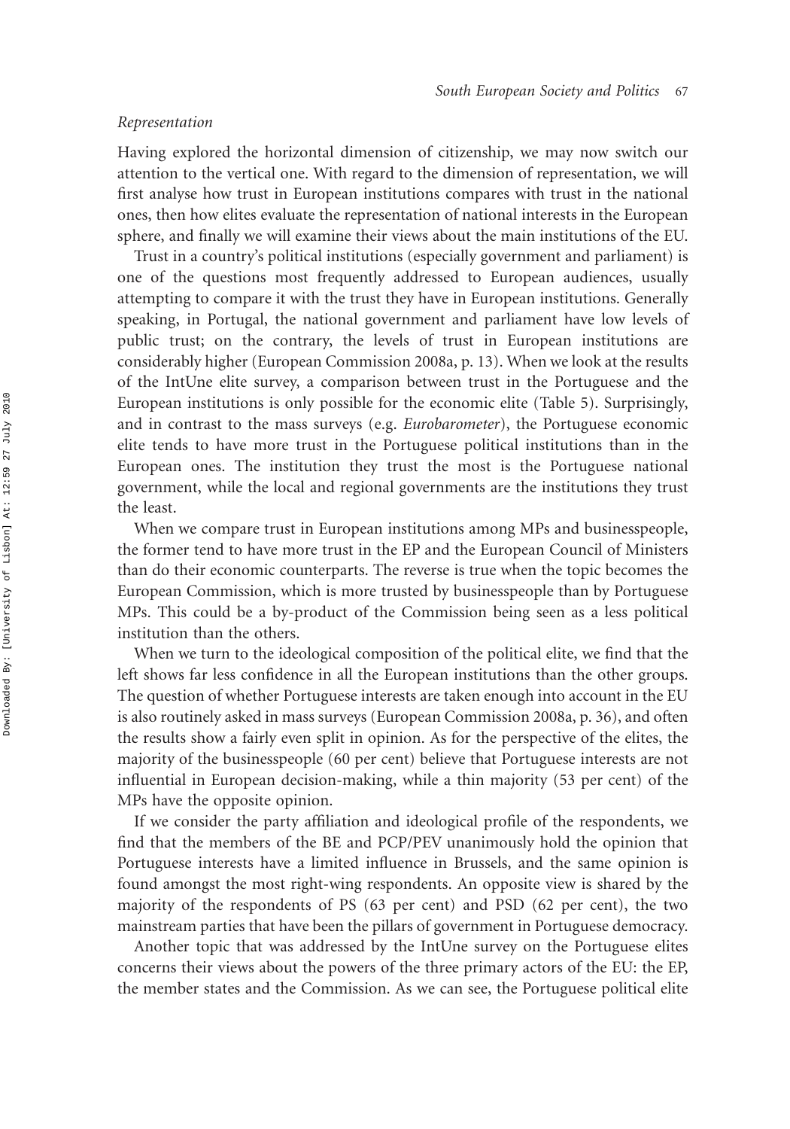### Representation

Having explored the horizontal dimension of citizenship, we may now switch our attention to the vertical one. With regard to the dimension of representation, we will first analyse how trust in European institutions compares with trust in the national ones, then how elites evaluate the representation of national interests in the European sphere, and finally we will examine their views about the main institutions of the EU.

Trust in a country's political institutions (especially government and parliament) is one of the questions most frequently addressed to European audiences, usually attempting to compare it with the trust they have in European institutions. Generally speaking, in Portugal, the national government and parliament have low levels of public trust; on the contrary, the levels of trust in European institutions are considerably higher (European Commission 2008a, p. 13). When we look at the results of the IntUne elite survey, a comparison between trust in the Portuguese and the European institutions is only possible for the economic elite (Table 5). Surprisingly, and in contrast to the mass surveys (e.g. Eurobarometer), the Portuguese economic elite tends to have more trust in the Portuguese political institutions than in the European ones. The institution they trust the most is the Portuguese national government, while the local and regional governments are the institutions they trust the least.

When we compare trust in European institutions among MPs and businesspeople, the former tend to have more trust in the EP and the European Council of Ministers than do their economic counterparts. The reverse is true when the topic becomes the European Commission, which is more trusted by businesspeople than by Portuguese MPs. This could be a by-product of the Commission being seen as a less political institution than the others.

When we turn to the ideological composition of the political elite, we find that the left shows far less confidence in all the European institutions than the other groups. The question of whether Portuguese interests are taken enough into account in the EU is also routinely asked in mass surveys (European Commission 2008a, p. 36), and often the results show a fairly even split in opinion. As for the perspective of the elites, the majority of the businesspeople (60 per cent) believe that Portuguese interests are not influential in European decision-making, while a thin majority (53 per cent) of the MPs have the opposite opinion.

If we consider the party affiliation and ideological profile of the respondents, we find that the members of the BE and PCP/PEV unanimously hold the opinion that Portuguese interests have a limited influence in Brussels, and the same opinion is found amongst the most right-wing respondents. An opposite view is shared by the majority of the respondents of PS (63 per cent) and PSD (62 per cent), the two mainstream parties that have been the pillars of government in Portuguese democracy.

Another topic that was addressed by the IntUne survey on the Portuguese elites concerns their views about the powers of the three primary actors of the EU: the EP, the member states and the Commission. As we can see, the Portuguese political elite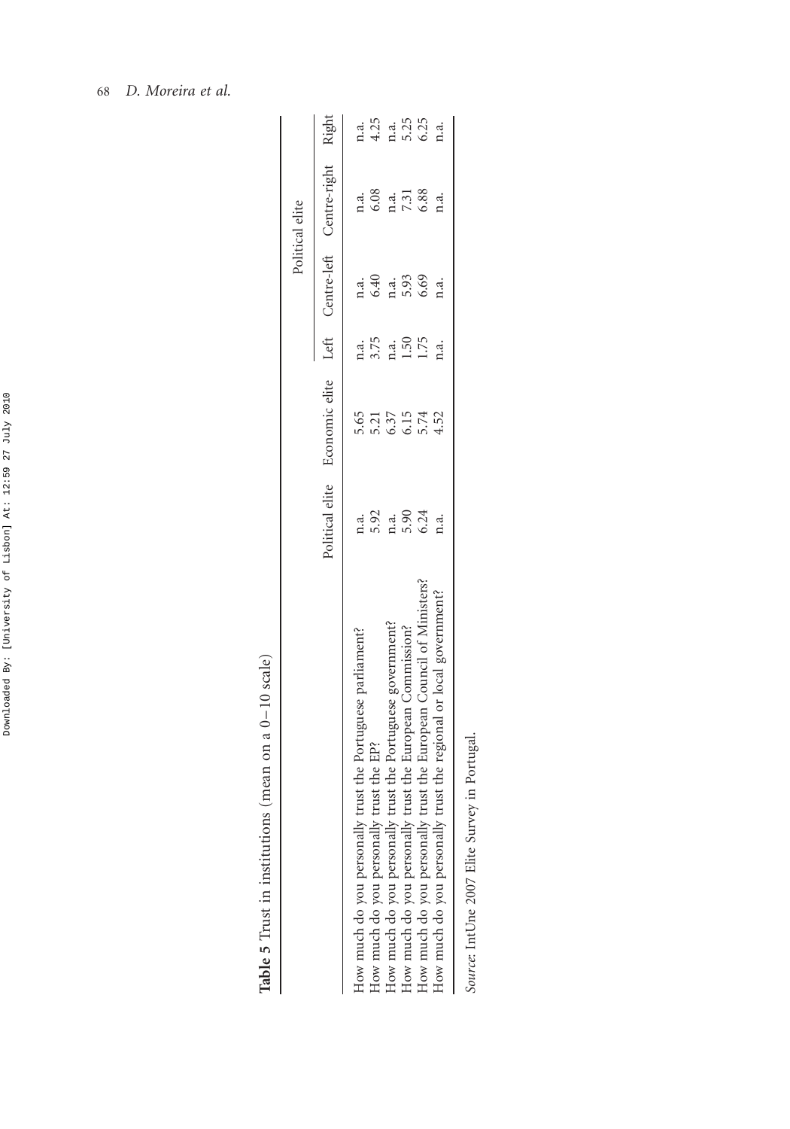| i<br>I<br>ׇ֘֝֬֕               |
|-------------------------------|
| ֺ֖֝֬֓֕֓֬֓֬֓֓<br>I             |
| i<br>ı                        |
| Ĺ<br>ì<br>1<br>،<br>ّ         |
| ί                             |
| י<br>י                        |
| י<br>ו                        |
| ֦<br>$\overline{\phantom{a}}$ |
| 1<br>I                        |
| I                             |

# Table 5 Trust in institutions (mean on a  $0\mathrm{-}10$  scale) Table 5 Trust in institutions (mean on a 0–10 scale)

|                                                                        |          |                                                                    |       |                      | Political elite |                      |
|------------------------------------------------------------------------|----------|--------------------------------------------------------------------|-------|----------------------|-----------------|----------------------|
|                                                                        |          | Political elite Economic elite Left Centre-left Centre-right Right |       |                      |                 |                      |
| How much do you personally trust the Portuguese parliament?            | n.a.     | 5.65                                                               | n.a.  | n.a.                 | n.a.            | n.a.                 |
| trust the EP?<br>How much do you personally                            | 5.92     | 5.21                                                               | 3.75  | 6.40                 | 6.08            | 4.25                 |
| trust the Portuguese government?<br>How much do you personally         | n.a.     | 6.37<br>6.15                                                       | n.a.  |                      |                 |                      |
| trust the European Commission?<br>How much do you personally           | 5.90     |                                                                    | $-50$ | n.a.<br>5.93<br>6.69 | n.a.<br>7.31    | n.a.<br>5.25<br>6.25 |
| trust the European Council of Ministers?<br>How much do you personally | 6.24     | 5.74                                                               | 1.75  |                      | 6.88            |                      |
| trust the regional or local government?<br>How much do you personally  | d.<br>d. | 4.52                                                               | n.a.  | n.a.                 | n.a.            | d.d.                 |
|                                                                        |          |                                                                    |       |                      |                 |                      |

Source: IntUne 2007 Elite Survey in Portugal. Source: IntUne 2007 Elite Survey in Portugal.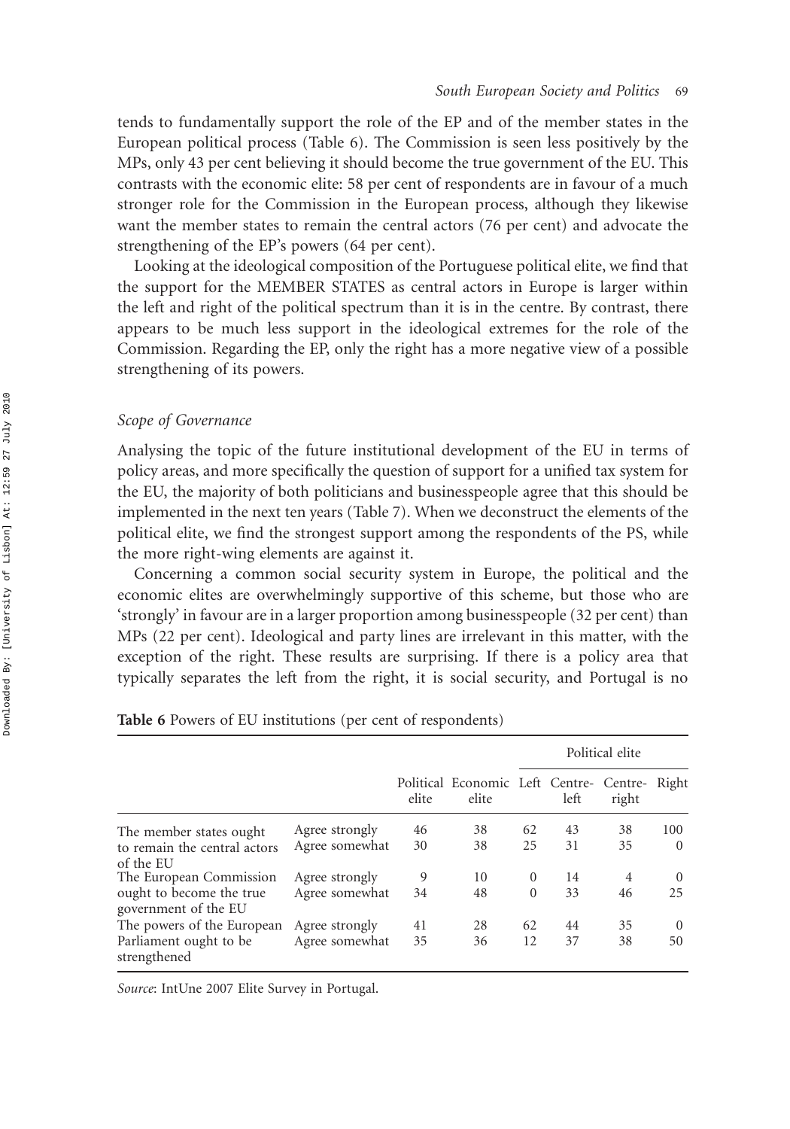tends to fundamentally support the role of the EP and of the member states in the European political process (Table 6). The Commission is seen less positively by the MPs, only 43 per cent believing it should become the true government of the EU. This contrasts with the economic elite: 58 per cent of respondents are in favour of a much stronger role for the Commission in the European process, although they likewise want the member states to remain the central actors (76 per cent) and advocate the strengthening of the EP's powers (64 per cent).

Looking at the ideological composition of the Portuguese political elite, we find that the support for the MEMBER STATES as central actors in Europe is larger within the left and right of the political spectrum than it is in the centre. By contrast, there appears to be much less support in the ideological extremes for the role of the Commission. Regarding the EP, only the right has a more negative view of a possible strengthening of its powers.

### Scope of Governance

Analysing the topic of the future institutional development of the EU in terms of policy areas, and more specifically the question of support for a unified tax system for the EU, the majority of both politicians and businesspeople agree that this should be implemented in the next ten years (Table 7). When we deconstruct the elements of the political elite, we find the strongest support among the respondents of the PS, while the more right-wing elements are against it.

Concerning a common social security system in Europe, the political and the economic elites are overwhelmingly supportive of this scheme, but those who are 'strongly' in favour are in a larger proportion among businesspeople (32 per cent) than MPs (22 per cent). Ideological and party lines are irrelevant in this matter, with the exception of the right. These results are surprising. If there is a policy area that typically separates the left from the right, it is social security, and Portugal is no

|                                                  |                |       |                                                        |          |      | Political elite |                |
|--------------------------------------------------|----------------|-------|--------------------------------------------------------|----------|------|-----------------|----------------|
|                                                  |                | elite | Political Economic Left Centre- Centre- Right<br>elite |          | left | right           |                |
| The member states ought                          | Agree strongly | 46    | 38                                                     | 62       | 43   | 38              | 100            |
| to remain the central actors<br>of the EU        | Agree somewhat | 30    | 38                                                     | 25       | 31   | 35              | $\Omega$       |
| The European Commission                          | Agree strongly | 9     | 10                                                     | $\Omega$ | 14   | $\overline{4}$  | $\overline{0}$ |
| ought to become the true<br>government of the EU | Agree somewhat | 34    | 48                                                     | $\Omega$ | 33   | 46              | 25             |
| The powers of the European                       | Agree strongly | 41    | 28                                                     | 62       | 44   | 35              | $\left($       |
| Parliament ought to be<br>strengthened           | Agree somewhat | 35    | 36                                                     | 12       | 37   | 38              | 50             |

Table 6 Powers of EU institutions (per cent of respondents)

Source: IntUne 2007 Elite Survey in Portugal.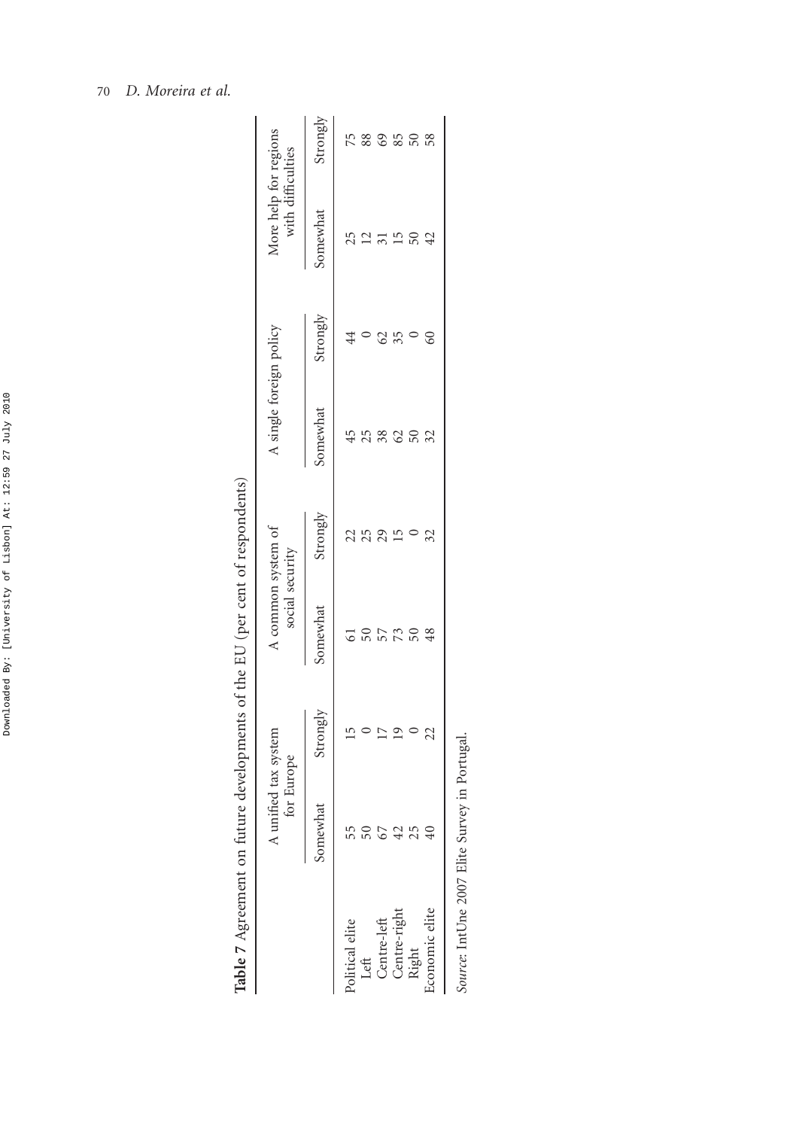| $h a 7$ agreement on future developments of the $F11$ (ner cent of respondents) |
|---------------------------------------------------------------------------------|
|                                                                                 |
| where $\sim$                                                                    |
|                                                                                 |
|                                                                                 |
| ジン・ソコン ココココ                                                                     |
|                                                                                 |
| Í                                                                               |
|                                                                                 |
| $\frac{1}{1}$                                                                   |

 $\mathbf{I}$ 

|                                      | A unified tax system<br>for Europe |          | A common system of<br>social security |          | A single foreign policy |          | More help for regions<br>with difficulties |          |
|--------------------------------------|------------------------------------|----------|---------------------------------------|----------|-------------------------|----------|--------------------------------------------|----------|
|                                      | Somewhat                           | Strongly | Somewhat                              | Strongly | Somewhat                | Strongly | Somewhat                                   | Strongly |
| olitical elite                       |                                    |          |                                       |          |                         |          | 25                                         |          |
| Left                                 |                                    |          |                                       |          |                         |          | Ņ                                          | 88       |
|                                      |                                    |          |                                       | 29       | 38                      |          |                                            | 69       |
|                                      |                                    |          |                                       | S        | $\overline{62}$         |          |                                            | 85       |
| Centre-left<br>Centre-right<br>Right | 25                                 |          |                                       |          |                         |          |                                            | 58       |
| conomic elite                        |                                    | 22       | $^{48}$                               | 32       |                         |          | 42                                         |          |
|                                      |                                    |          |                                       |          |                         |          |                                            |          |

Source: IntUne 2007 Elite Survey in Portugal. Source: IntUne 2007 Elite Survey in Portugal.

### 70 D. Moreira et al.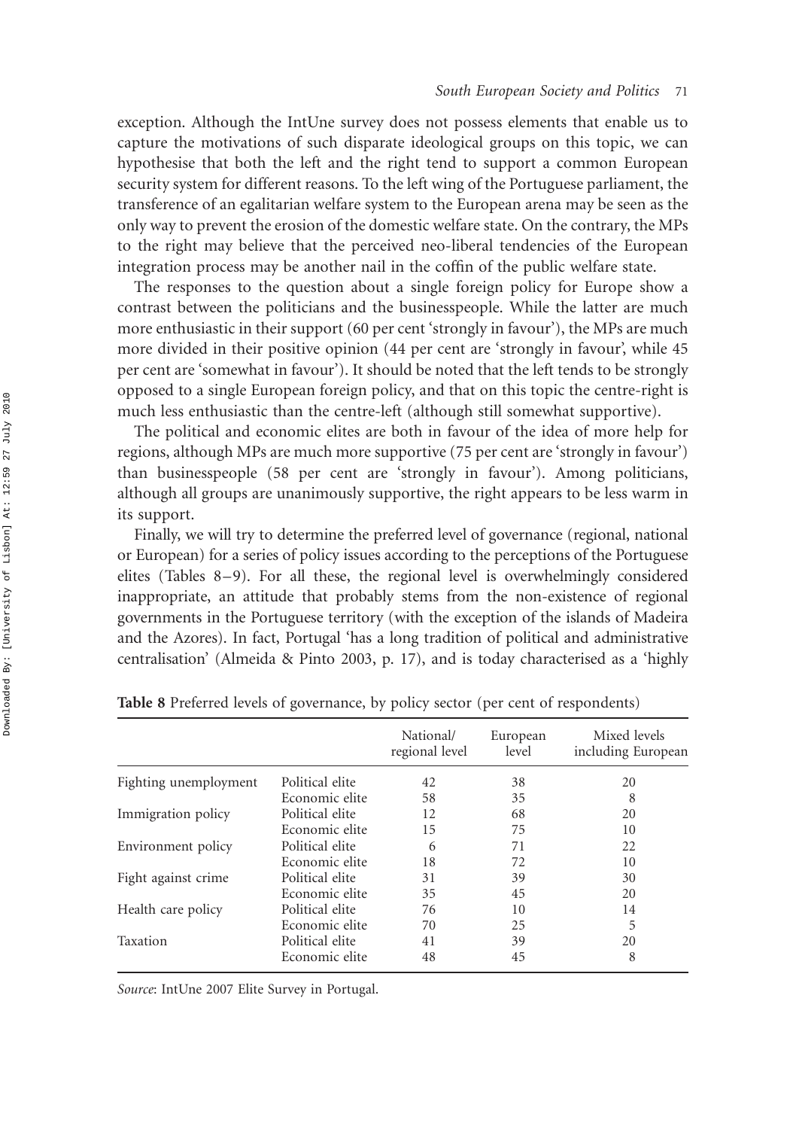exception. Although the IntUne survey does not possess elements that enable us to capture the motivations of such disparate ideological groups on this topic, we can hypothesise that both the left and the right tend to support a common European security system for different reasons. To the left wing of the Portuguese parliament, the transference of an egalitarian welfare system to the European arena may be seen as the only way to prevent the erosion of the domestic welfare state. On the contrary, the MPs to the right may believe that the perceived neo-liberal tendencies of the European integration process may be another nail in the coffin of the public welfare state.

The responses to the question about a single foreign policy for Europe show a contrast between the politicians and the businesspeople. While the latter are much more enthusiastic in their support (60 per cent 'strongly in favour'), the MPs are much more divided in their positive opinion (44 per cent are 'strongly in favour', while 45 per cent are 'somewhat in favour'). It should be noted that the left tends to be strongly opposed to a single European foreign policy, and that on this topic the centre-right is much less enthusiastic than the centre-left (although still somewhat supportive).

The political and economic elites are both in favour of the idea of more help for regions, although MPs are much more supportive (75 per cent are 'strongly in favour') than businesspeople (58 per cent are 'strongly in favour'). Among politicians, although all groups are unanimously supportive, the right appears to be less warm in its support.

Finally, we will try to determine the preferred level of governance (regional, national or European) for a series of policy issues according to the perceptions of the Portuguese elites (Tables 8–9). For all these, the regional level is overwhelmingly considered inappropriate, an attitude that probably stems from the non-existence of regional governments in the Portuguese territory (with the exception of the islands of Madeira and the Azores). In fact, Portugal 'has a long tradition of political and administrative centralisation' (Almeida & Pinto 2003, p. 17), and is today characterised as a 'highly

|                       |                 | National/<br>regional level | European<br>level | Mixed levels<br>including European |
|-----------------------|-----------------|-----------------------------|-------------------|------------------------------------|
| Fighting unemployment | Political elite | 42                          | 38                | 20                                 |
|                       | Economic elite  | 58                          | 35                | 8                                  |
| Immigration policy    | Political elite | 12                          | 68                | 20                                 |
|                       | Economic elite  | 15                          | 75                | 10                                 |
| Environment policy    | Political elite | 6                           | 71                | 22                                 |
|                       | Economic elite  | 18                          | 72                | 10                                 |
| Fight against crime   | Political elite | 31                          | 39                | 30                                 |
|                       | Economic elite  | 35                          | 45                | 20                                 |
| Health care policy    | Political elite | 76                          | 10                | 14                                 |
|                       | Economic elite  | 70                          | 25                | 5                                  |
| Taxation              | Political elite | 41                          | 39                | 20                                 |
|                       | Economic elite  | 48                          | 45                | 8                                  |

Table 8 Preferred levels of governance, by policy sector (per cent of respondents)

Source: IntUne 2007 Elite Survey in Portugal.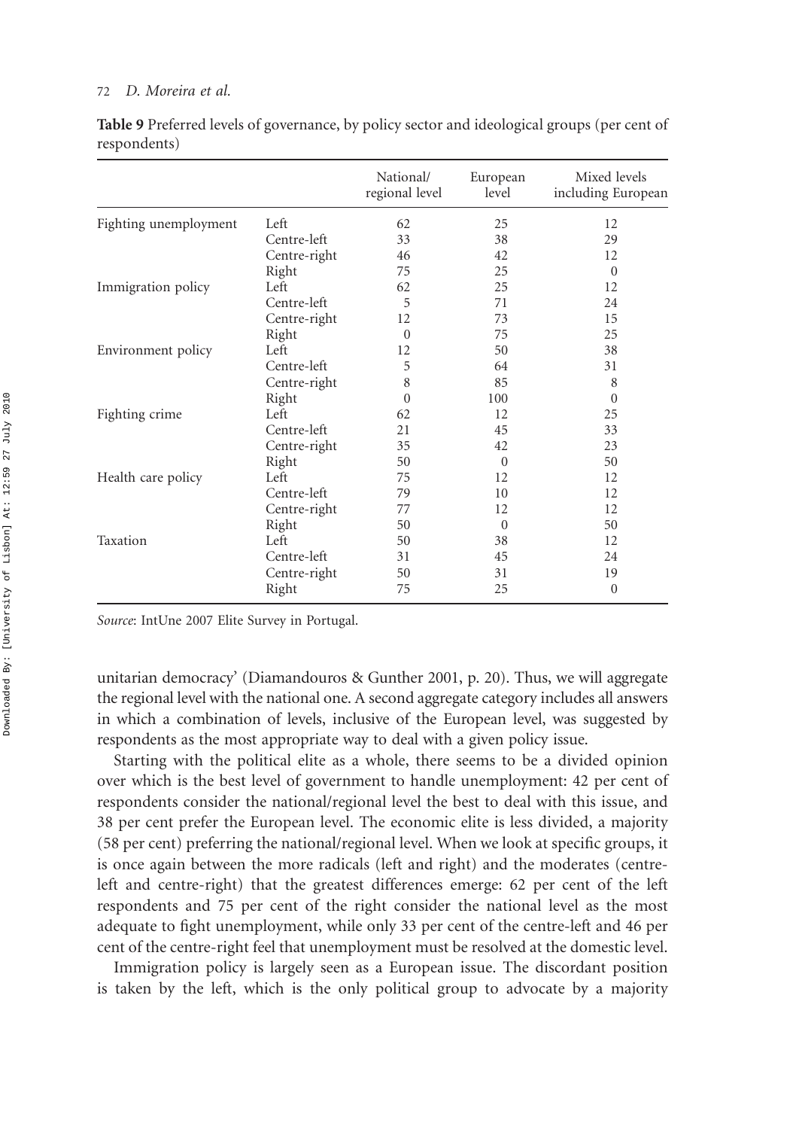### 72 D. Moreira et al.

|                       |              | National/<br>regional level | European<br>level | Mixed levels<br>including European |
|-----------------------|--------------|-----------------------------|-------------------|------------------------------------|
| Fighting unemployment | Left         | 62                          | 25                | 12                                 |
|                       | Centre-left  | 33                          | 38                | 29                                 |
|                       | Centre-right | 46                          | 42                | 12                                 |
|                       | Right        | 75                          | 25                | $\Omega$                           |
| Immigration policy    | Left         | 62                          | 25                | 12                                 |
|                       | Centre-left  | 5                           | 71                | 24                                 |
|                       | Centre-right | 12                          | 73                | 15                                 |
|                       | Right        | $\mathbf{0}$                | 75                | 25                                 |
| Environment policy    | Left         | 12                          | 50                | 38                                 |
|                       | Centre-left  | 5                           | 64                | 31                                 |
|                       | Centre-right | 8                           | 85                | 8                                  |
|                       | Right        | $\mathbf{0}$                | 100               | $\mathbf{0}$                       |
| Fighting crime        | Left         | 62                          | 12                | 25                                 |
|                       | Centre-left  | 21                          | 45                | 33                                 |
|                       | Centre-right | 35                          | 42                | 23                                 |
|                       | Right        | 50                          | $\Omega$          | 50                                 |
| Health care policy    | Left         | 75                          | 12                | 12                                 |
|                       | Centre-left  | 79                          | 10                | 12                                 |
|                       | Centre-right | 77                          | 12                | 12                                 |
|                       | Right        | 50                          | $\Omega$          | 50                                 |
| Taxation              | Left         | 50                          | 38                | 12                                 |
|                       | Centre-left  | 31                          | 45                | 24                                 |
|                       | Centre-right | 50                          | 31                | 19                                 |
|                       | Right        | 75                          | 25                | $\mathbf{0}$                       |

Table 9 Preferred levels of governance, by policy sector and ideological groups (per cent of respondents)

Source: IntUne 2007 Elite Survey in Portugal.

unitarian democracy' (Diamandouros & Gunther 2001, p. 20). Thus, we will aggregate the regional level with the national one. A second aggregate category includes all answers in which a combination of levels, inclusive of the European level, was suggested by respondents as the most appropriate way to deal with a given policy issue.

Starting with the political elite as a whole, there seems to be a divided opinion over which is the best level of government to handle unemployment: 42 per cent of respondents consider the national/regional level the best to deal with this issue, and 38 per cent prefer the European level. The economic elite is less divided, a majority (58 per cent) preferring the national/regional level. When we look at specific groups, it is once again between the more radicals (left and right) and the moderates (centreleft and centre-right) that the greatest differences emerge: 62 per cent of the left respondents and 75 per cent of the right consider the national level as the most adequate to fight unemployment, while only 33 per cent of the centre-left and 46 per cent of the centre-right feel that unemployment must be resolved at the domestic level.

Immigration policy is largely seen as a European issue. The discordant position is taken by the left, which is the only political group to advocate by a majority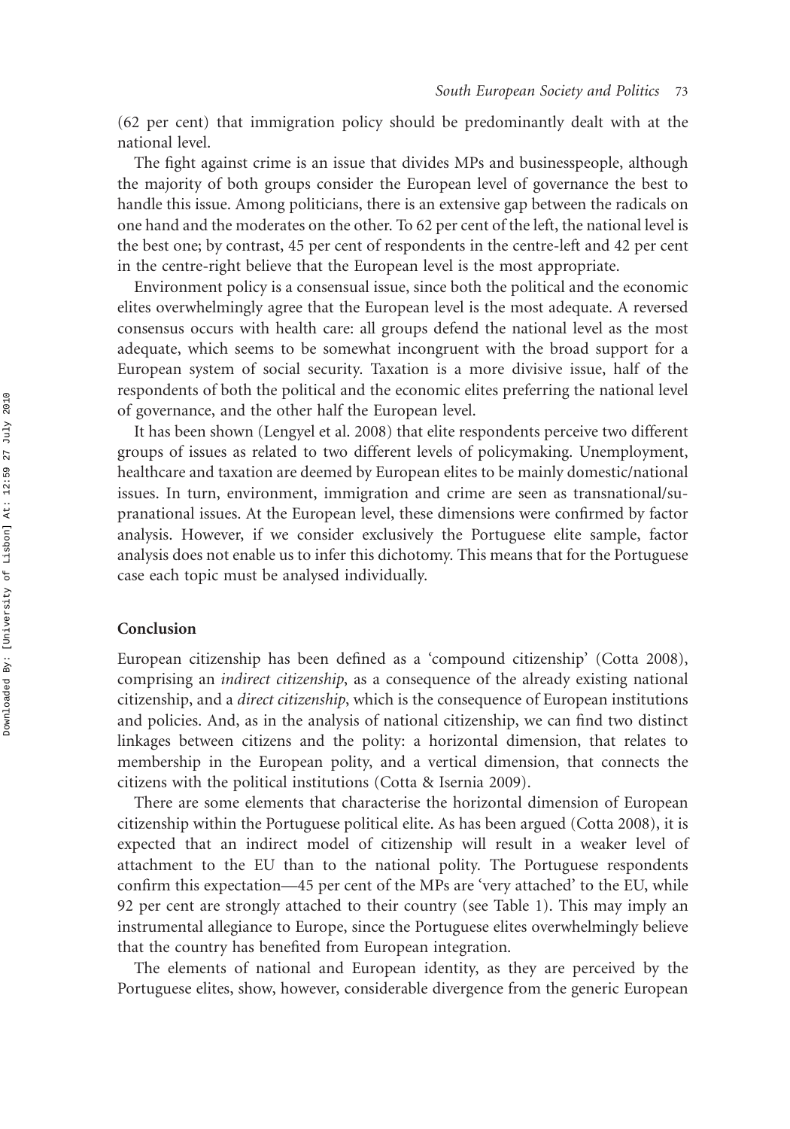(62 per cent) that immigration policy should be predominantly dealt with at the national level.

The fight against crime is an issue that divides MPs and businesspeople, although the majority of both groups consider the European level of governance the best to handle this issue. Among politicians, there is an extensive gap between the radicals on one hand and the moderates on the other. To 62 per cent of the left, the national level is the best one; by contrast, 45 per cent of respondents in the centre-left and 42 per cent in the centre-right believe that the European level is the most appropriate.

Environment policy is a consensual issue, since both the political and the economic elites overwhelmingly agree that the European level is the most adequate. A reversed consensus occurs with health care: all groups defend the national level as the most adequate, which seems to be somewhat incongruent with the broad support for a European system of social security. Taxation is a more divisive issue, half of the respondents of both the political and the economic elites preferring the national level of governance, and the other half the European level.

It has been shown (Lengyel et al. 2008) that elite respondents perceive two different groups of issues as related to two different levels of policymaking. Unemployment, healthcare and taxation are deemed by European elites to be mainly domestic/national issues. In turn, environment, immigration and crime are seen as transnational/supranational issues. At the European level, these dimensions were confirmed by factor analysis. However, if we consider exclusively the Portuguese elite sample, factor analysis does not enable us to infer this dichotomy. This means that for the Portuguese case each topic must be analysed individually.

### Conclusion

European citizenship has been defined as a 'compound citizenship' (Cotta 2008), comprising an indirect citizenship, as a consequence of the already existing national citizenship, and a direct citizenship, which is the consequence of European institutions and policies. And, as in the analysis of national citizenship, we can find two distinct linkages between citizens and the polity: a horizontal dimension, that relates to membership in the European polity, and a vertical dimension, that connects the citizens with the political institutions (Cotta & Isernia 2009).

There are some elements that characterise the horizontal dimension of European citizenship within the Portuguese political elite. As has been argued (Cotta 2008), it is expected that an indirect model of citizenship will result in a weaker level of attachment to the EU than to the national polity. The Portuguese respondents confirm this expectation—45 per cent of the MPs are 'very attached' to the EU, while 92 per cent are strongly attached to their country (see Table 1). This may imply an instrumental allegiance to Europe, since the Portuguese elites overwhelmingly believe that the country has benefited from European integration.

The elements of national and European identity, as they are perceived by the Portuguese elites, show, however, considerable divergence from the generic European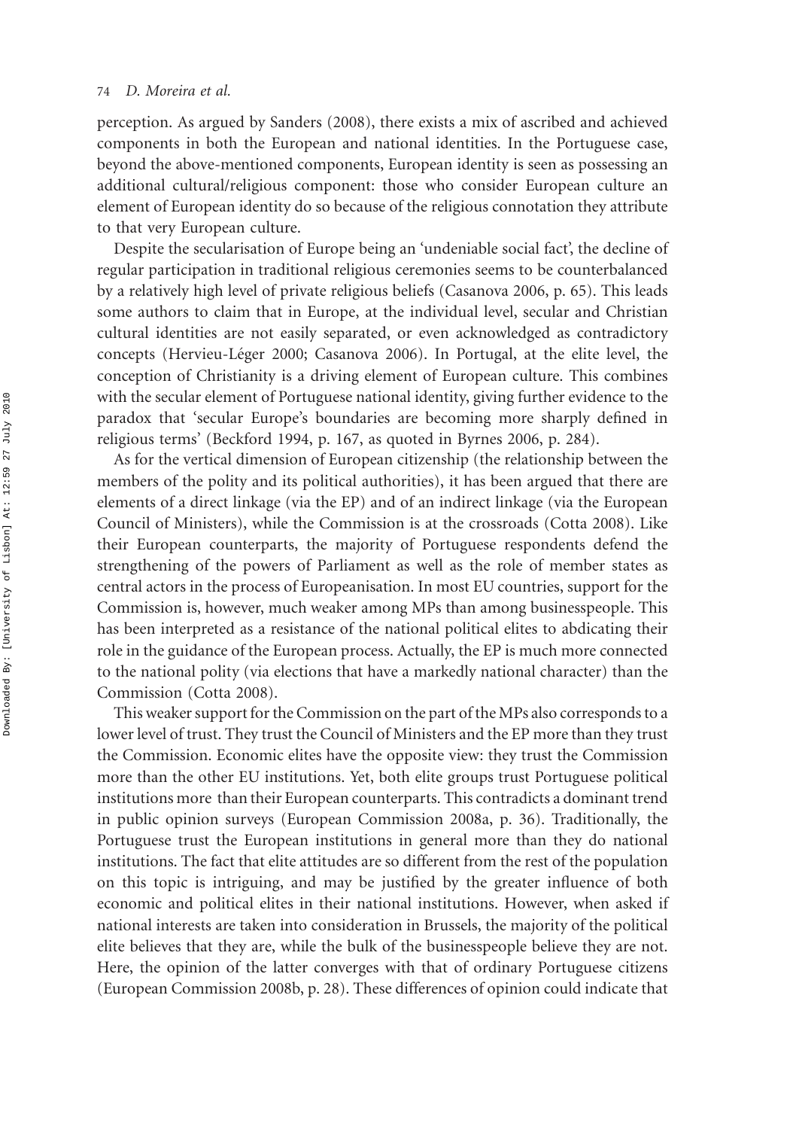perception. As argued by Sanders (2008), there exists a mix of ascribed and achieved components in both the European and national identities. In the Portuguese case, beyond the above-mentioned components, European identity is seen as possessing an additional cultural/religious component: those who consider European culture an element of European identity do so because of the religious connotation they attribute to that very European culture.

Despite the secularisation of Europe being an 'undeniable social fact', the decline of regular participation in traditional religious ceremonies seems to be counterbalanced by a relatively high level of private religious beliefs (Casanova 2006, p. 65). This leads some authors to claim that in Europe, at the individual level, secular and Christian cultural identities are not easily separated, or even acknowledged as contradictory concepts (Hervieu-Léger 2000; Casanova 2006). In Portugal, at the elite level, the conception of Christianity is a driving element of European culture. This combines with the secular element of Portuguese national identity, giving further evidence to the paradox that 'secular Europe's boundaries are becoming more sharply defined in religious terms' (Beckford 1994, p. 167, as quoted in Byrnes 2006, p. 284).

As for the vertical dimension of European citizenship (the relationship between the members of the polity and its political authorities), it has been argued that there are elements of a direct linkage (via the EP) and of an indirect linkage (via the European Council of Ministers), while the Commission is at the crossroads (Cotta 2008). Like their European counterparts, the majority of Portuguese respondents defend the strengthening of the powers of Parliament as well as the role of member states as central actors in the process of Europeanisation. In most EU countries, support for the Commission is, however, much weaker among MPs than among businesspeople. This has been interpreted as a resistance of the national political elites to abdicating their role in the guidance of the European process. Actually, the EP is much more connected to the national polity (via elections that have a markedly national character) than the Commission (Cotta 2008).

This weaker support for the Commission on the part of the MPs also corresponds to a lower level of trust. They trust the Council of Ministers and the EP more than they trust the Commission. Economic elites have the opposite view: they trust the Commission more than the other EU institutions. Yet, both elite groups trust Portuguese political institutions more than their European counterparts. This contradicts a dominant trend in public opinion surveys (European Commission 2008a, p. 36). Traditionally, the Portuguese trust the European institutions in general more than they do national institutions. The fact that elite attitudes are so different from the rest of the population on this topic is intriguing, and may be justified by the greater influence of both economic and political elites in their national institutions. However, when asked if national interests are taken into consideration in Brussels, the majority of the political elite believes that they are, while the bulk of the businesspeople believe they are not. Here, the opinion of the latter converges with that of ordinary Portuguese citizens (European Commission 2008b, p. 28). These differences of opinion could indicate that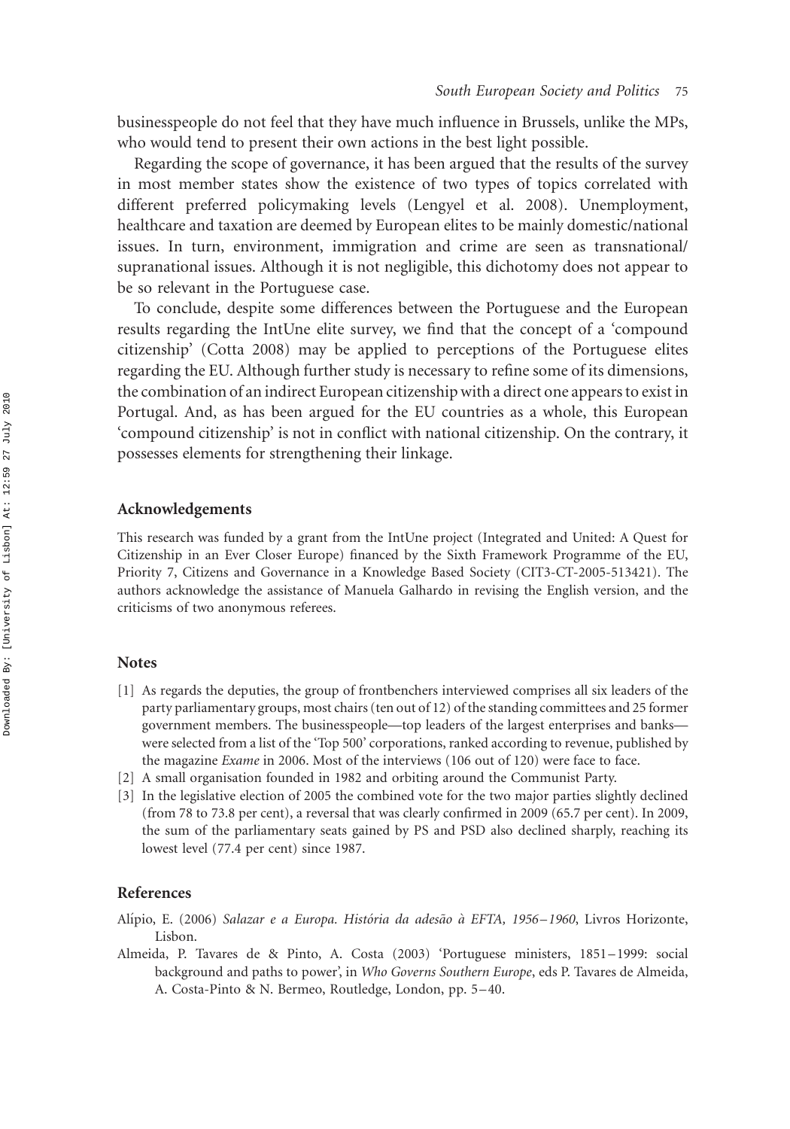businesspeople do not feel that they have much influence in Brussels, unlike the MPs, who would tend to present their own actions in the best light possible.

Regarding the scope of governance, it has been argued that the results of the survey in most member states show the existence of two types of topics correlated with different preferred policymaking levels (Lengyel et al. 2008). Unemployment, healthcare and taxation are deemed by European elites to be mainly domestic/national issues. In turn, environment, immigration and crime are seen as transnational/ supranational issues. Although it is not negligible, this dichotomy does not appear to be so relevant in the Portuguese case.

To conclude, despite some differences between the Portuguese and the European results regarding the IntUne elite survey, we find that the concept of a 'compound citizenship' (Cotta 2008) may be applied to perceptions of the Portuguese elites regarding the EU. Although further study is necessary to refine some of its dimensions, the combination of an indirect European citizenship with a direct one appears to exist in Portugal. And, as has been argued for the EU countries as a whole, this European 'compound citizenship' is not in conflict with national citizenship. On the contrary, it possesses elements for strengthening their linkage.

### Acknowledgements

This research was funded by a grant from the IntUne project (Integrated and United: A Quest for Citizenship in an Ever Closer Europe) financed by the Sixth Framework Programme of the EU, Priority 7, Citizens and Governance in a Knowledge Based Society (CIT3-CT-2005-513421). The authors acknowledge the assistance of Manuela Galhardo in revising the English version, and the criticisms of two anonymous referees.

### Notes

- [1] As regards the deputies, the group of frontbenchers interviewed comprises all six leaders of the party parliamentary groups, most chairs (ten out of 12) of the standing committees and 25 former government members. The businesspeople—top leaders of the largest enterprises and banks were selected from a list of the 'Top 500' corporations, ranked according to revenue, published by the magazine *Exame* in 2006. Most of the interviews (106 out of 120) were face to face.
- [2] A small organisation founded in 1982 and orbiting around the Communist Party.
- [3] In the legislative election of 2005 the combined vote for the two major parties slightly declined (from 78 to 73.8 per cent), a reversal that was clearly confirmed in 2009 (65.7 per cent). In 2009, the sum of the parliamentary seats gained by PS and PSD also declined sharply, reaching its lowest level (77.4 per cent) since 1987.

### References

Alípio, E. (2006) Salazar e a Europa. História da adesão à EFTA, 1956-1960, Livros Horizonte, Lisbon.

Almeida, P. Tavares de & Pinto, A. Costa (2003) 'Portuguese ministers, 1851–1999: social background and paths to power', in Who Governs Southern Europe, eds P. Tavares de Almeida, A. Costa-Pinto & N. Bermeo, Routledge, London, pp. 5–40.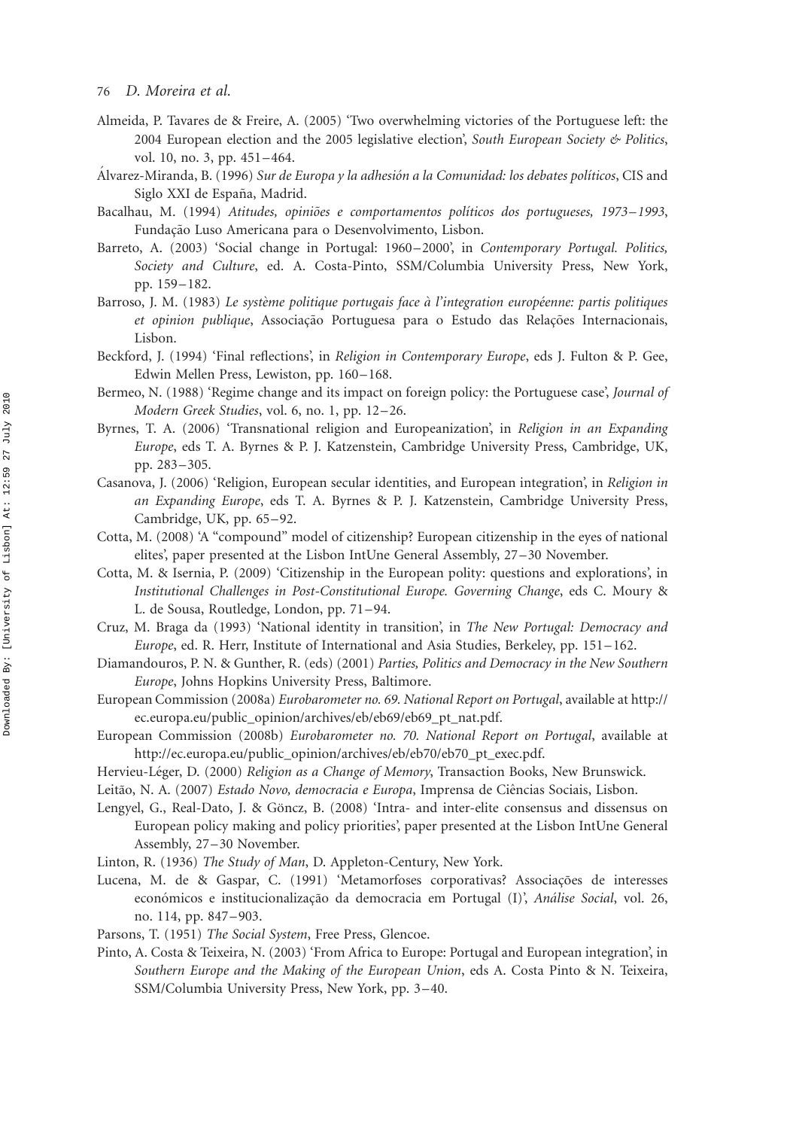- Almeida, P. Tavares de & Freire, A. (2005) 'Two overwhelming victories of the Portuguese left: the 2004 European election and the 2005 legislative election', South European Society & Politics, vol. 10, no. 3, pp. 451–464.
- Álvarez-Miranda, B. (1996) Sur de Europa y la adhesión a la Comunidad: los debates políticos, CIS and Siglo XXI de España, Madrid.
- Bacalhau, M. (1994) Atitudes, opiniões e comportamentos políticos dos portugueses, 1973–1993, Fundação Luso Americana para o Desenvolvimento, Lisbon.
- Barreto, A. (2003) 'Social change in Portugal: 1960–2000', in Contemporary Portugal. Politics, Society and Culture, ed. A. Costa-Pinto, SSM/Columbia University Press, New York, pp. 159–182.
- Barroso, J. M. (1983) Le système politique portugais face à l'integration européenne: partis politiques et opinion publique, Associacão Portuguesa para o Estudo das Relacões Internacionais, Lisbon.
- Beckford, J. (1994) 'Final reflections', in Religion in Contemporary Europe, eds J. Fulton & P. Gee, Edwin Mellen Press, Lewiston, pp. 160–168.
- Bermeo, N. (1988) 'Regime change and its impact on foreign policy: the Portuguese case', *Journal of* Modern Greek Studies, vol. 6, no. 1, pp. 12–26.
- Byrnes, T. A. (2006) 'Transnational religion and Europeanization', in Religion in an Expanding Europe, eds T. A. Byrnes & P. J. Katzenstein, Cambridge University Press, Cambridge, UK, pp. 283–305.
- Casanova, J. (2006) 'Religion, European secular identities, and European integration', in Religion in an Expanding Europe, eds T. A. Byrnes & P. J. Katzenstein, Cambridge University Press, Cambridge, UK, pp. 65–92.
- Cotta, M. (2008) 'A "compound" model of citizenship? European citizenship in the eyes of national elites', paper presented at the Lisbon IntUne General Assembly, 27–30 November.
- Cotta, M. & Isernia, P. (2009) 'Citizenship in the European polity: questions and explorations', in Institutional Challenges in Post-Constitutional Europe. Governing Change, eds C. Moury & L. de Sousa, Routledge, London, pp. 71–94.
- Cruz, M. Braga da (1993) 'National identity in transition', in The New Portugal: Democracy and Europe, ed. R. Herr, Institute of International and Asia Studies, Berkeley, pp. 151–162.
- Diamandouros, P. N. & Gunther, R. (eds) (2001) Parties, Politics and Democracy in the New Southern Europe, Johns Hopkins University Press, Baltimore.
- European Commission (2008a) Eurobarometer no. 69. National Report on Portugal, available at http:// ec.europa.eu/public\_opinion/archives/eb/eb69/eb69\_pt\_nat.pdf.
- European Commission (2008b) Eurobarometer no. 70. National Report on Portugal, available at http://ec.europa.eu/public\_opinion/archives/eb/eb70/eb70\_pt\_exec.pdf.
- Hervieu-Léger, D. (2000) Religion as a Change of Memory, Transaction Books, New Brunswick.

Leitão, N. A. (2007) Estado Novo, democracia e Europa, Imprensa de Ciências Sociais, Lisbon.

- Lengyel, G., Real-Dato, J. & Göncz, B. (2008) 'Intra- and inter-elite consensus and dissensus on European policy making and policy priorities', paper presented at the Lisbon IntUne General Assembly, 27–30 November.
- Linton, R. (1936) The Study of Man, D. Appleton-Century, New York.
- Lucena, M. de & Gaspar, C. (1991) 'Metamorfoses corporativas? Associações de interesses económicos e institucionalização da democracia em Portugal (I)', Análise Social, vol. 26, no. 114, pp. 847–903.
- Parsons, T. (1951) The Social System, Free Press, Glencoe.
- Pinto, A. Costa & Teixeira, N. (2003) 'From Africa to Europe: Portugal and European integration', in Southern Europe and the Making of the European Union, eds A. Costa Pinto & N. Teixeira, SSM/Columbia University Press, New York, pp. 3–40.